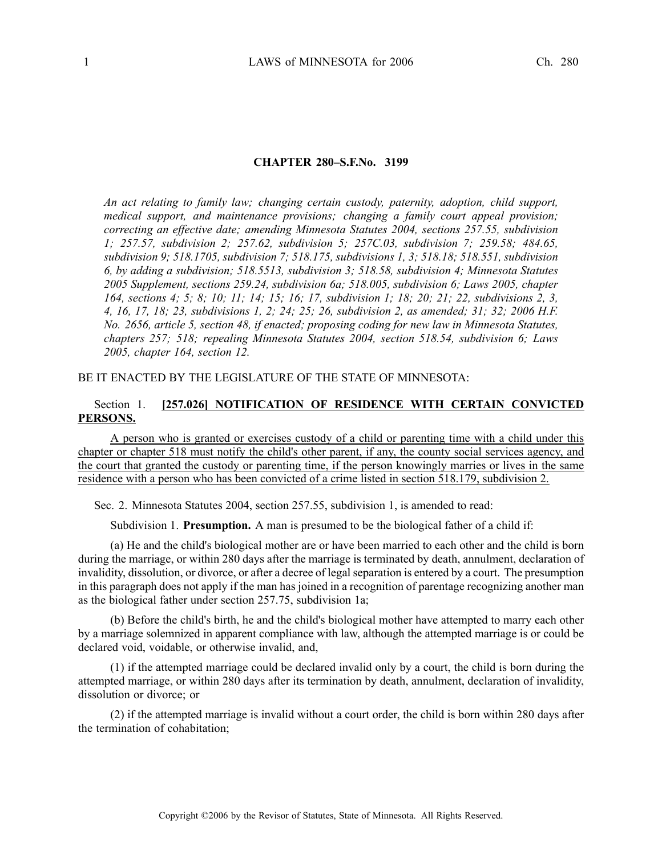#### **CHAPTER 280–S.F.No. 3199**

*An act relating to family law; changing certain custody, paternity, adoption, child support, medical support, and maintenance provisions; changing <sup>a</sup> family court appeal provision; correcting an effective date; amending Minnesota Statutes 2004, sections 257.55, subdivision 1; 257.57, subdivision 2; 257.62, subdivision 5; 257C.03, subdivision 7; 259.58; 484.65, subdivision 9; 518.1705, subdivision 7; 518.175, subdivisions 1, 3; 518.18; 518.551, subdivision 6, by adding <sup>a</sup> subdivision; 518.5513, subdivision 3; 518.58, subdivision 4; Minnesota Statutes 2005 Supplement, sections 259.24, subdivision 6a; 518.005, subdivision 6; Laws 2005, chapter* 164, sections 4; 5; 8; 10; 11; 14; 15; 16; 17, subdivision 1; 18; 20; 21; 22, subdivisions 2, 3, 4, 16, 17, 18; 23, subdivisions 1, 2; 24; 25; 26, subdivision 2, as amended; 31; 32; 2006 H.F. *No. 2656, article 5, section 48, if enacted; proposing coding for new law in Minnesota Statutes, chapters 257; 518; repealing Minnesota Statutes 2004, section 518.54, subdivision 6; Laws 2005, chapter 164, section 12.*

#### BE IT ENACTED BY THE LEGISLATURE OF THE STATE OF MINNESOTA:

# Section 1. **[257.026] NOTIFICATION OF RESIDENCE WITH CERTAIN CONVICTED PERSONS.**

A person who is granted or exercises custody of <sup>a</sup> child or parenting time with <sup>a</sup> child under this chapter or chapter 518 must notify the child's other parent, if any, the county social services agency, and the court that granted the custody or parenting time, if the person knowingly marries or lives in the same residence with <sup>a</sup> person who has been convicted of <sup>a</sup> crime listed in section 518.179, subdivision 2.

Sec. 2. Minnesota Statutes 2004, section 257.55, subdivision 1, is amended to read:

Subdivision 1. **Presumption.** A man is presumed to be the biological father of <sup>a</sup> child if:

(a) He and the child's biological mother are or have been married to each other and the child is born during the marriage, or within 280 days after the marriage is terminated by death, annulment, declaration of invalidity, dissolution, or divorce, or after a decree of legal separation is entered by a court. The presumption in this paragraph does not apply if the man has joined in <sup>a</sup> recognition of parentage recognizing another man as the biological father under section 257.75, subdivision 1a;

(b) Before the child's birth, he and the child's biological mother have attempted to marry each other by <sup>a</sup> marriage solemnized in apparen<sup>t</sup> compliance with law, although the attempted marriage is or could be declared void, voidable, or otherwise invalid, and,

(1) if the attempted marriage could be declared invalid only by <sup>a</sup> court, the child is born during the attempted marriage, or within 280 days after its termination by death, annulment, declaration of invalidity, dissolution or divorce; or

(2) if the attempted marriage is invalid without <sup>a</sup> court order, the child is born within 280 days after the termination of cohabitation;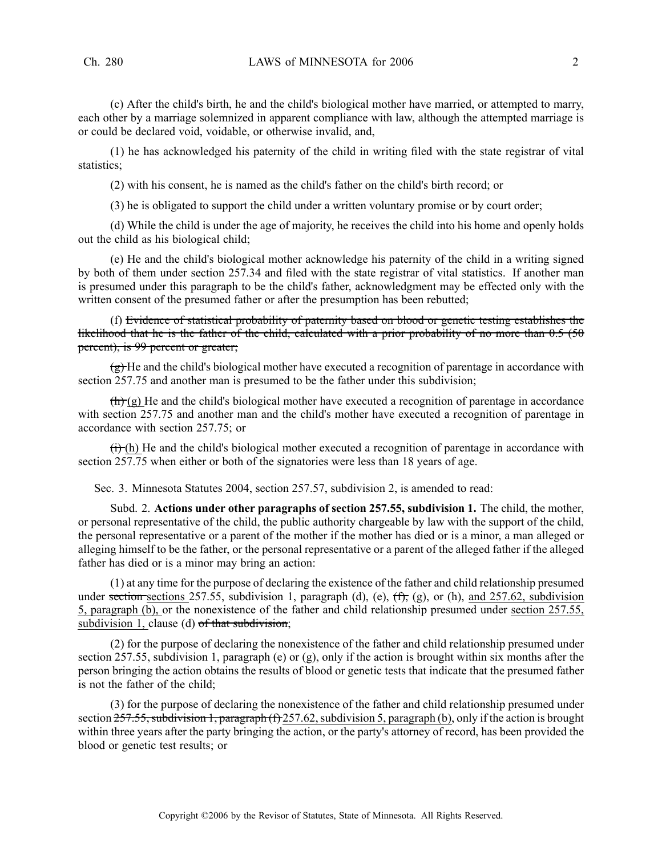(c) After the child's birth, he and the child's biological mother have married, or attempted to marry, each other by <sup>a</sup> marriage solemnized in apparen<sup>t</sup> compliance with law, although the attempted marriage is or could be declared void, voidable, or otherwise invalid, and,

(1) he has acknowledged his paternity of the child in writing filed with the state registrar of vital statistics;

(2) with his consent, he is named as the child's father on the child's birth record; or

(3) he is obligated to suppor<sup>t</sup> the child under <sup>a</sup> written voluntary promise or by court order;

(d) While the child is under the age of majority, he receives the child into his home and openly holds out the child as his biological child;

(e) He and the child's biological mother acknowledge his paternity of the child in <sup>a</sup> writing signed by both of them under section 257.34 and filed with the state registrar of vital statistics. If another man is presumed under this paragraph to be the child's father, acknowledgment may be effected only with the written consent of the presumed father or after the presumption has been rebutted;

(f) Evidence of statistical probability of paternity based on blood or genetic testing establishes the likelihood that he is the father of the child, calculated with a prior probability of no more than 0.5 (50 percent), is 99 percen<sup>t</sup> or greater;

 $\overline{f}$ He and the child's biological mother have executed a recognition of parentage in accordance with section 257.75 and another man is presumed to be the father under this subdivision;

 $\left(\frac{\hbar}{\hbar}\right)$  (g) He and the child's biological mother have executed a recognition of parentage in accordance with section 257.75 and another man and the child's mother have executed <sup>a</sup> recognition of parentage in accordance with section 257.75; or

 $(ii)$  He and the child's biological mother executed a recognition of parentage in accordance with section 257.75 when either or both of the signatories were less than 18 years of age.

Sec. 3. Minnesota Statutes 2004, section 257.57, subdivision 2, is amended to read:

Subd. 2. **Actions under other paragraphs of section 257.55, subdivision 1.** The child, the mother, or personal representative of the child, the public authority chargeable by law with the suppor<sup>t</sup> of the child, the personal representative or <sup>a</sup> paren<sup>t</sup> of the mother if the mother has died or is <sup>a</sup> minor, <sup>a</sup> man alleged or alleging himself to be the father, or the personal representative or <sup>a</sup> paren<sup>t</sup> of the alleged father if the alleged father has died or is <sup>a</sup> minor may bring an action:

(1) at any time for the purpose of declaring the existence of the father and child relationship presumed under sections sections 257.55, subdivision 1, paragraph (d), (e),  $(f)$ , (g), or (h), and 257.62, subdivision 5, paragraph (b), or the nonexistence of the father and child relationship presumed under section 257.55, subdivision 1, clause (d)  $\sigma f$  that subdivision;

(2) for the purpose of declaring the nonexistence of the father and child relationship presumed under section 257.55, subdivision 1, paragraph (e) or (g), only if the action is brought within six months after the person bringing the action obtains the results of blood or genetic tests that indicate that the presumed father is not the father of the child;

(3) for the purpose of declaring the nonexistence of the father and child relationship presumed under section  $257.55$ , subdivision 1, paragraph (f) 257.62, subdivision 5, paragraph (b), only if the action is brought within three years after the party bringing the action, or the party's attorney of record, has been provided the blood or genetic test results; or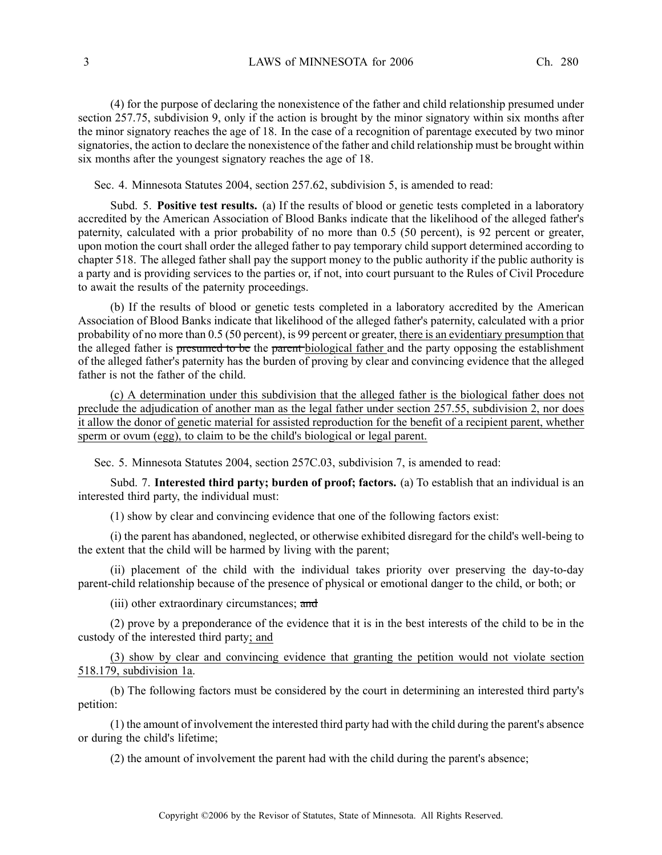(4) for the purpose of declaring the nonexistence of the father and child relationship presumed under section 257.75, subdivision 9, only if the action is brought by the minor signatory within six months after the minor signatory reaches the age of 18. In the case of <sup>a</sup> recognition of parentage executed by two minor signatories, the action to declare the nonexistence of the father and child relationship must be brought within six months after the younges<sup>t</sup> signatory reaches the age of 18.

Sec. 4. Minnesota Statutes 2004, section 257.62, subdivision 5, is amended to read:

Subd. 5. **Positive test results.** (a) If the results of blood or genetic tests completed in <sup>a</sup> laboratory accredited by the American Association of Blood Banks indicate that the likelihood of the alleged father's paternity, calculated with <sup>a</sup> prior probability of no more than 0.5 (50 percent), is 92 percen<sup>t</sup> or greater, upon motion the court shall order the alleged father to pay temporary child suppor<sup>t</sup> determined according to chapter 518. The alleged father shall pay the suppor<sup>t</sup> money to the public authority if the public authority is <sup>a</sup> party and is providing services to the parties or, if not, into court pursuan<sup>t</sup> to the Rules of Civil Procedure to await the results of the paternity proceedings.

(b) If the results of blood or genetic tests completed in <sup>a</sup> laboratory accredited by the American Association of Blood Banks indicate that likelihood of the alleged father's paternity, calculated with <sup>a</sup> prior probability of no more than 0.5 (50 percent), is 99 percen<sup>t</sup> or greater, there is an evidentiary presumption that the alleged father is presumed to be the paren<sup>t</sup> biological father and the party opposing the establishment of the alleged father's paternity has the burden of proving by clear and convincing evidence that the alleged father is not the father of the child.

(c) A determination under this subdivision that the alleged father is the biological father does not preclude the adjudication of another man as the legal father under section 257.55, subdivision 2, nor does it allow the donor of genetic material for assisted reproduction for the benefit of <sup>a</sup> recipient parent, whether sperm or ovum (egg), to claim to be the child's biological or legal parent.

Sec. 5. Minnesota Statutes 2004, section 257C.03, subdivision 7, is amended to read:

Subd. 7. **Interested third party; burden of proof; factors.** (a) To establish that an individual is an interested third party, the individual must:

(1) show by clear and convincing evidence that one of the following factors exist:

(i) the paren<sup>t</sup> has abandoned, neglected, or otherwise exhibited disregard for the child's well-being to the extent that the child will be harmed by living with the parent;

(ii) placement of the child with the individual takes priority over preserving the day-to-day parent-child relationship because of the presence of physical or emotional danger to the child, or both; or

(iii) other extraordinary circumstances; and

(2) prove by <sup>a</sup> preponderance of the evidence that it is in the best interests of the child to be in the custody of the interested third party; and

(3) show by clear and convincing evidence that granting the petition would not violate section 518.179, subdivision 1a.

(b) The following factors must be considered by the court in determining an interested third party's petition:

(1) the amount of involvement the interested third party had with the child during the parent's absence or during the child's lifetime;

(2) the amount of involvement the paren<sup>t</sup> had with the child during the parent's absence;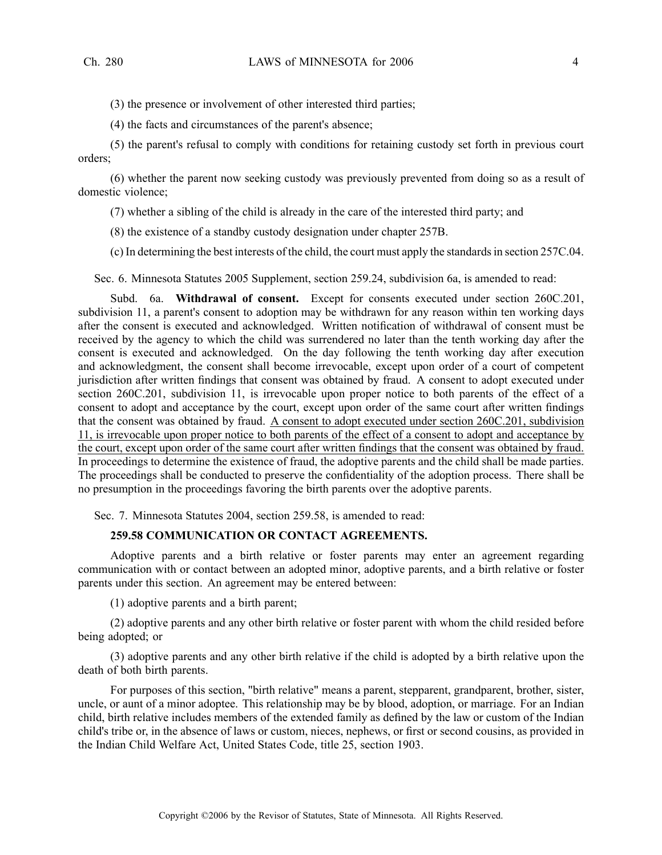(3) the presence or involvement of other interested third parties;

(4) the facts and circumstances of the parent's absence;

(5) the parent's refusal to comply with conditions for retaining custody set forth in previous court orders;

(6) whether the paren<sup>t</sup> now seeking custody was previously prevented from doing so as <sup>a</sup> result of domestic violence;

(7) whether <sup>a</sup> sibling of the child is already in the care of the interested third party; and

(8) the existence of <sup>a</sup> standby custody designation under chapter 257B.

(c) In determining the best interests of the child, the court must apply the standardsin section 257C.04.

Sec. 6. Minnesota Statutes 2005 Supplement, section 259.24, subdivision 6a, is amended to read:

Subd. 6a. **Withdrawal of consent.** Except for consents executed under section 260C.201, subdivision 11, <sup>a</sup> parent's consent to adoption may be withdrawn for any reason within ten working days after the consent is executed and acknowledged. Written notification of withdrawal of consent must be received by the agency to which the child was surrendered no later than the tenth working day after the consent is executed and acknowledged. On the day following the tenth working day after execution and acknowledgment, the consent shall become irrevocable, excep<sup>t</sup> upon order of <sup>a</sup> court of competent jurisdiction after written findings that consent was obtained by fraud. A consent to adopt executed under section 260C.201, subdivision 11, is irrevocable upon proper notice to both parents of the effect of a consent to adopt and acceptance by the court, excep<sup>t</sup> upon order of the same court after written findings that the consent was obtained by fraud. A consent to adopt executed under section 260C.201, subdivision 11, is irrevocable upon proper notice to both parents of the effect of <sup>a</sup> consent to adopt and acceptance by the court, excep<sup>t</sup> upon order of the same court after written findings that the consent was obtained by fraud. In proceedings to determine the existence of fraud, the adoptive parents and the child shall be made parties. The proceedings shall be conducted to preserve the confidentiality of the adoption process. There shall be no presumption in the proceedings favoring the birth parents over the adoptive parents.

Sec. 7. Minnesota Statutes 2004, section 259.58, is amended to read:

# **259.58 COMMUNICATION OR CONTACT AGREEMENTS.**

Adoptive parents and <sup>a</sup> birth relative or foster parents may enter an agreemen<sup>t</sup> regarding communication with or contact between an adopted minor, adoptive parents, and <sup>a</sup> birth relative or foster parents under this section. An agreemen<sup>t</sup> may be entered between:

(1) adoptive parents and <sup>a</sup> birth parent;

(2) adoptive parents and any other birth relative or foster paren<sup>t</sup> with whom the child resided before being adopted; or

(3) adoptive parents and any other birth relative if the child is adopted by <sup>a</sup> birth relative upon the death of both birth parents.

For purposes of this section, "birth relative" means <sup>a</sup> parent, stepparent, grandparent, brother, sister, uncle, or aunt of a minor adoptee. This relationship may be by blood, adoption, or marriage. For an Indian child, birth relative includes members of the extended family as defined by the law or custom of the Indian child's tribe or, in the absence of laws or custom, nieces, nephews, or first or second cousins, as provided in the Indian Child Welfare Act, United States Code, title 25, section 1903.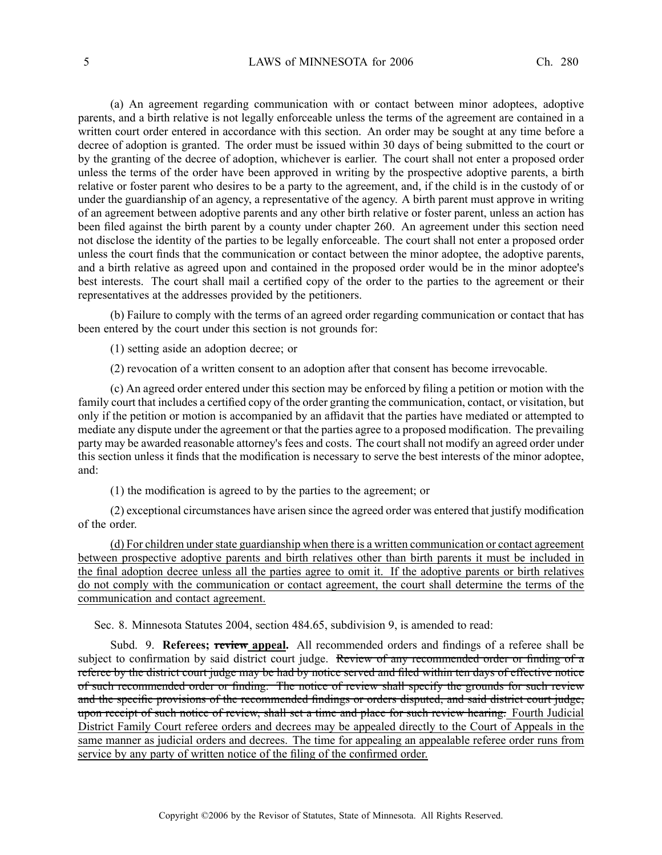(a) An agreemen<sup>t</sup> regarding communication with or contact between minor adoptees, adoptive parents, and <sup>a</sup> birth relative is not legally enforceable unless the terms of the agreemen<sup>t</sup> are contained in <sup>a</sup> written court order entered in accordance with this section. An order may be sought at any time before <sup>a</sup> decree of adoption is granted. The order must be issued within 30 days of being submitted to the court or by the granting of the decree of adoption, whichever is earlier. The court shall not enter <sup>a</sup> proposed order unless the terms of the order have been approved in writing by the prospective adoptive parents, <sup>a</sup> birth relative or foster paren<sup>t</sup> who desires to be <sup>a</sup> party to the agreement, and, if the child is in the custody of or under the guardianship of an agency, <sup>a</sup> representative of the agency. A birth paren<sup>t</sup> must approve in writing of an agreemen<sup>t</sup> between adoptive parents and any other birth relative or foster parent, unless an action has been filed against the birth paren<sup>t</sup> by <sup>a</sup> county under chapter 260. An agreemen<sup>t</sup> under this section need not disclose the identity of the parties to be legally enforceable. The court shall not enter <sup>a</sup> proposed order unless the court finds that the communication or contact between the minor adoptee, the adoptive parents, and <sup>a</sup> birth relative as agreed upon and contained in the proposed order would be in the minor adoptee's best interests. The court shall mail <sup>a</sup> certified copy of the order to the parties to the agreemen<sup>t</sup> or their representatives at the addresses provided by the petitioners.

(b) Failure to comply with the terms of an agreed order regarding communication or contact that has been entered by the court under this section is not grounds for:

(1) setting aside an adoption decree; or

(2) revocation of <sup>a</sup> written consent to an adoption after that consent has become irrevocable.

(c) An agreed order entered under this section may be enforced by filing <sup>a</sup> petition or motion with the family court that includes <sup>a</sup> certified copy of the order granting the communication, contact, or visitation, but only if the petition or motion is accompanied by an affidavit that the parties have mediated or attempted to mediate any dispute under the agreemen<sup>t</sup> or that the parties agree to <sup>a</sup> proposed modification. The prevailing party may be awarded reasonable attorney's fees and costs. The court shall not modify an agreed order under this section unless it finds that the modification is necessary to serve the best interests of the minor adoptee, and:

(1) the modification is agreed to by the parties to the agreement; or

(2) exceptional circumstances have arisen since the agreed order was entered that justify modification of the order.

(d) For children understate guardianship when there is <sup>a</sup> written communication or contact agreemen<sup>t</sup> between prospective adoptive parents and birth relatives other than birth parents it must be included in the final adoption decree unless all the parties agree to omit it. If the adoptive parents or birth relatives do not comply with the communication or contact agreement, the court shall determine the terms of the communication and contact agreement.

Sec. 8. Minnesota Statutes 2004, section 484.65, subdivision 9, is amended to read:

Subd. 9. **Referees; review appeal.** All recommended orders and findings of <sup>a</sup> referee shall be subject to confirmation by said district court judge. Review of any recommended order or finding of a referee by the district court judge may be had by notice served and filed within ten days of effective notice of such recommended order or finding. The notice of review shall specify the grounds for such review and the specific provisions of the recommended findings or orders disputed, and said district court judge, upon receipt of such notice of review, shall set a time and place for such review hearing. Fourth Judicial District Family Court referee orders and decrees may be appealed directly to the Court of Appeals in the same manner as judicial orders and decrees. The time for appealing an appealable referee order runs from service by any party of written notice of the filing of the confirmed order.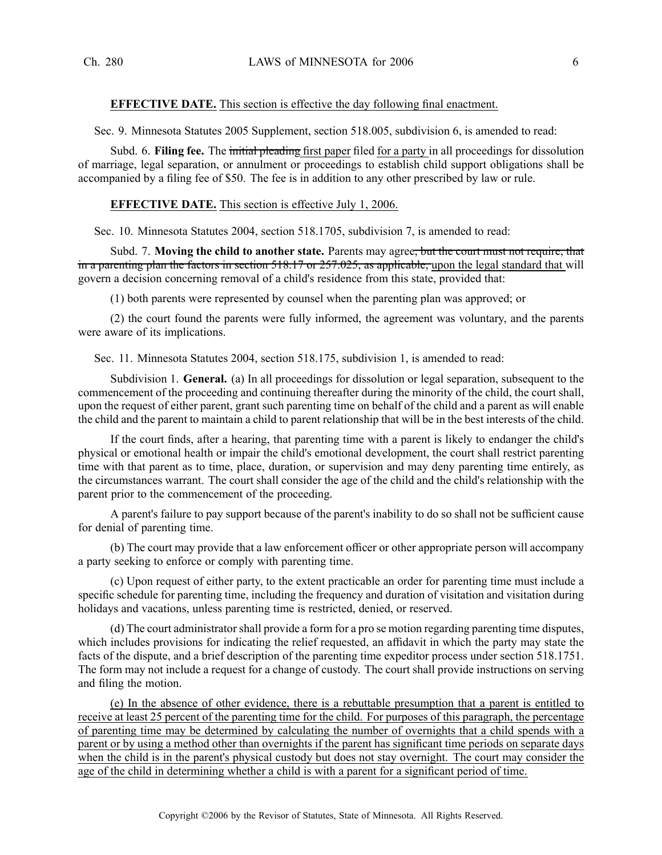# **EFFECTIVE DATE.** This section is effective the day following final enactment.

Sec. 9. Minnesota Statutes 2005 Supplement, section 518.005, subdivision 6, is amended to read:

Subd. 6. **Filing fee.** The initial pleading first paper filed for <sup>a</sup> party in all proceedings for dissolution of marriage, legal separation, or annulment or proceedings to establish child suppor<sup>t</sup> obligations shall be accompanied by <sup>a</sup> filing fee of \$50. The fee is in addition to any other prescribed by law or rule.

### **EFFECTIVE DATE.** This section is effective July 1, 2006.

Sec. 10. Minnesota Statutes 2004, section 518.1705, subdivision 7, is amended to read:

Subd. 7. **Moving the child to another state.** Parents may agree, but the court must not require, that in a parenting plan the factors in section 518.17 or 257.025, as applicable, upon the legal standard that will govern <sup>a</sup> decision concerning removal of <sup>a</sup> child's residence from this state, provided that:

(1) both parents were represented by counsel when the parenting plan was approved; or

(2) the court found the parents were fully informed, the agreemen<sup>t</sup> was voluntary, and the parents were aware of its implications.

Sec. 11. Minnesota Statutes 2004, section 518.175, subdivision 1, is amended to read:

Subdivision 1. **General.** (a) In all proceedings for dissolution or legal separation, subsequent to the commencement of the proceeding and continuing thereafter during the minority of the child, the court shall, upon the reques<sup>t</sup> of either parent, gran<sup>t</sup> such parenting time on behalf of the child and <sup>a</sup> paren<sup>t</sup> as will enable the child and the paren<sup>t</sup> to maintain <sup>a</sup> child to paren<sup>t</sup> relationship that will be in the best interests of the child.

If the court finds, after <sup>a</sup> hearing, that parenting time with <sup>a</sup> paren<sup>t</sup> is likely to endanger the child's physical or emotional health or impair the child's emotional development, the court shall restrict parenting time with that paren<sup>t</sup> as to time, place, duration, or supervision and may deny parenting time entirely, as the circumstances warrant. The court shall consider the age of the child and the child's relationship with the paren<sup>t</sup> prior to the commencement of the proceeding.

A parent's failure to pay suppor<sup>t</sup> because of the parent's inability to do so shall not be sufficient cause for denial of parenting time.

(b) The court may provide that <sup>a</sup> law enforcement officer or other appropriate person will accompany <sup>a</sup> party seeking to enforce or comply with parenting time.

(c) Upon reques<sup>t</sup> of either party, to the extent practicable an order for parenting time must include <sup>a</sup> specific schedule for parenting time, including the frequency and duration of visitation and visitation during holidays and vacations, unless parenting time is restricted, denied, or reserved.

(d) The court administratorshall provide <sup>a</sup> form for <sup>a</sup> pro se motion regarding parenting time disputes, which includes provisions for indicating the relief requested, an affidavit in which the party may state the facts of the dispute, and <sup>a</sup> brief description of the parenting time expeditor process under section 518.1751. The form may not include <sup>a</sup> reques<sup>t</sup> for <sup>a</sup> change of custody. The court shall provide instructions on serving and filing the motion.

(e) In the absence of other evidence, there is <sup>a</sup> rebuttable presumption that <sup>a</sup> paren<sup>t</sup> is entitled to receive at least 25 percen<sup>t</sup> of the parenting time for the child. For purposes of this paragraph, the percentage of parenting time may be determined by calculating the number of overnights that <sup>a</sup> child spends with <sup>a</sup> paren<sup>t</sup> or by using <sup>a</sup> method other than overnights if the paren<sup>t</sup> has significant time periods on separate days when the child is in the parent's physical custody but does not stay overnight. The court may consider the age of the child in determining whether <sup>a</sup> child is with <sup>a</sup> paren<sup>t</sup> for <sup>a</sup> significant period of time.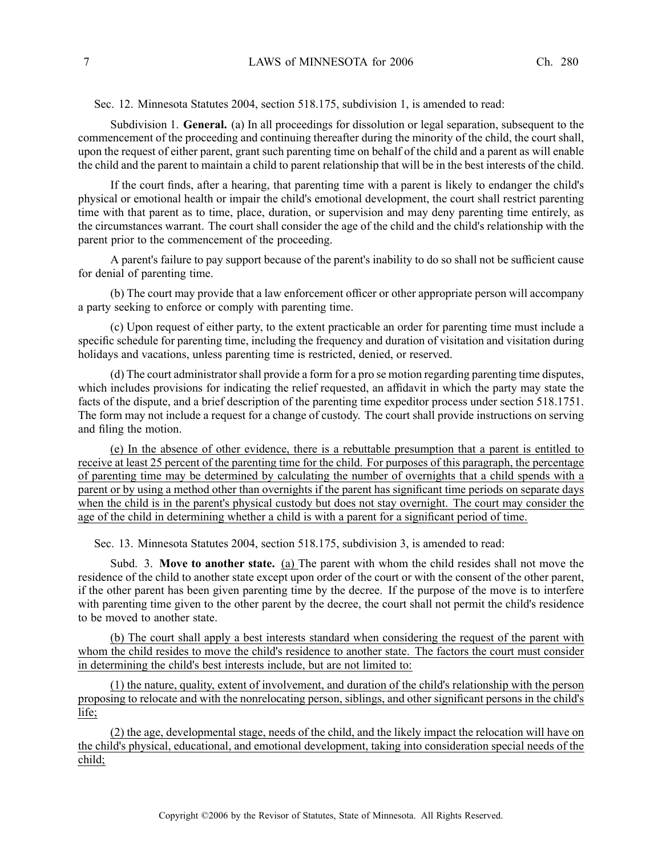Sec. 12. Minnesota Statutes 2004, section 518.175, subdivision 1, is amended to read:

Subdivision 1. **General.** (a) In all proceedings for dissolution or legal separation, subsequent to the commencement of the proceeding and continuing thereafter during the minority of the child, the court shall, upon the reques<sup>t</sup> of either parent, gran<sup>t</sup> such parenting time on behalf of the child and <sup>a</sup> paren<sup>t</sup> as will enable the child and the paren<sup>t</sup> to maintain <sup>a</sup> child to paren<sup>t</sup> relationship that will be in the best interests of the child.

If the court finds, after <sup>a</sup> hearing, that parenting time with <sup>a</sup> paren<sup>t</sup> is likely to endanger the child's physical or emotional health or impair the child's emotional development, the court shall restrict parenting time with that paren<sup>t</sup> as to time, place, duration, or supervision and may deny parenting time entirely, as the circumstances warrant. The court shall consider the age of the child and the child's relationship with the paren<sup>t</sup> prior to the commencement of the proceeding.

A parent's failure to pay suppor<sup>t</sup> because of the parent's inability to do so shall not be sufficient cause for denial of parenting time.

(b) The court may provide that <sup>a</sup> law enforcement officer or other appropriate person will accompany <sup>a</sup> party seeking to enforce or comply with parenting time.

(c) Upon reques<sup>t</sup> of either party, to the extent practicable an order for parenting time must include <sup>a</sup> specific schedule for parenting time, including the frequency and duration of visitation and visitation during holidays and vacations, unless parenting time is restricted, denied, or reserved.

(d) The court administratorshall provide <sup>a</sup> form for <sup>a</sup> pro se motion regarding parenting time disputes, which includes provisions for indicating the relief requested, an affidavit in which the party may state the facts of the dispute, and <sup>a</sup> brief description of the parenting time expeditor process under section 518.1751. The form may not include <sup>a</sup> reques<sup>t</sup> for <sup>a</sup> change of custody. The court shall provide instructions on serving and filing the motion.

(e) In the absence of other evidence, there is <sup>a</sup> rebuttable presumption that <sup>a</sup> paren<sup>t</sup> is entitled to receive at least 25 percen<sup>t</sup> of the parenting time for the child. For purposes of this paragraph, the percentage of parenting time may be determined by calculating the number of overnights that <sup>a</sup> child spends with <sup>a</sup> paren<sup>t</sup> or by using <sup>a</sup> method other than overnights if the paren<sup>t</sup> has significant time periods on separate days when the child is in the parent's physical custody but does not stay overnight. The court may consider the age of the child in determining whether <sup>a</sup> child is with <sup>a</sup> paren<sup>t</sup> for <sup>a</sup> significant period of time.

Sec. 13. Minnesota Statutes 2004, section 518.175, subdivision 3, is amended to read:

Subd. 3. **Move to another state.** (a) The paren<sup>t</sup> with whom the child resides shall not move the residence of the child to another state excep<sup>t</sup> upon order of the court or with the consent of the other parent, if the other paren<sup>t</sup> has been given parenting time by the decree. If the purpose of the move is to interfere with parenting time given to the other parent by the decree, the court shall not permit the child's residence to be moved to another state.

(b) The court shall apply <sup>a</sup> best interests standard when considering the reques<sup>t</sup> of the paren<sup>t</sup> with whom the child resides to move the child's residence to another state. The factors the court must consider in determining the child's best interests include, but are not limited to:

(1) the nature, quality, extent of involvement, and duration of the child's relationship with the person proposing to relocate and with the nonrelocating person, siblings, and other significant persons in the child's life;

(2) the age, developmental stage, needs of the child, and the likely impact the relocation will have on the child's physical, educational, and emotional development, taking into consideration special needs of the child;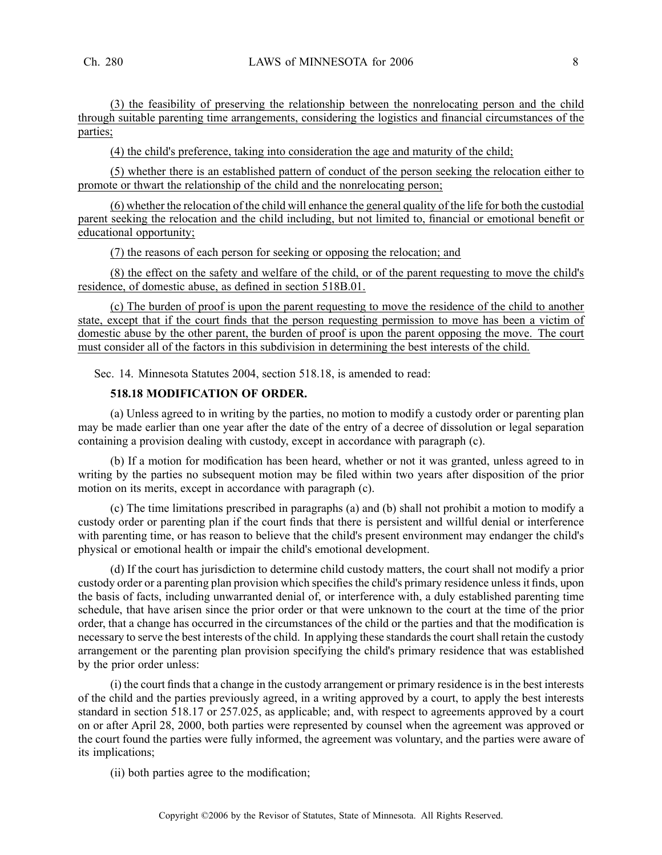(3) the feasibility of preserving the relationship between the nonrelocating person and the child through suitable parenting time arrangements, considering the logistics and financial circumstances of the parties;

(4) the child's preference, taking into consideration the age and maturity of the child;

(5) whether there is an established pattern of conduct of the person seeking the relocation either to promote or thwart the relationship of the child and the nonrelocating person;

(6) whether the relocation of the child will enhance the general quality of the life for both the custodial paren<sup>t</sup> seeking the relocation and the child including, but not limited to, financial or emotional benefit or educational opportunity;

(7) the reasons of each person for seeking or opposing the relocation; and

(8) the effect on the safety and welfare of the child, or of the paren<sup>t</sup> requesting to move the child's residence, of domestic abuse, as defined in section 518B.01.

(c) The burden of proof is upon the paren<sup>t</sup> requesting to move the residence of the child to another state, excep<sup>t</sup> that if the court finds that the person requesting permission to move has been <sup>a</sup> victim of domestic abuse by the other parent, the burden of proof is upon the paren<sup>t</sup> opposing the move. The court must consider all of the factors in this subdivision in determining the best interests of the child.

Sec. 14. Minnesota Statutes 2004, section 518.18, is amended to read:

# **518.18 MODIFICATION OF ORDER.**

(a) Unless agreed to in writing by the parties, no motion to modify <sup>a</sup> custody order or parenting plan may be made earlier than one year after the date of the entry of <sup>a</sup> decree of dissolution or legal separation containing <sup>a</sup> provision dealing with custody, excep<sup>t</sup> in accordance with paragraph (c).

(b) If <sup>a</sup> motion for modification has been heard, whether or not it was granted, unless agreed to in writing by the parties no subsequent motion may be filed within two years after disposition of the prior motion on its merits, excep<sup>t</sup> in accordance with paragraph (c).

(c) The time limitations prescribed in paragraphs (a) and (b) shall not prohibit <sup>a</sup> motion to modify <sup>a</sup> custody order or parenting plan if the court finds that there is persistent and willful denial or interference with parenting time, or has reason to believe that the child's present environment may endanger the child's physical or emotional health or impair the child's emotional development.

(d) If the court has jurisdiction to determine child custody matters, the court shall not modify <sup>a</sup> prior custody order or a parenting plan provision which specifies the child's primary residence unless it finds, upon the basis of facts, including unwarranted denial of, or interference with, <sup>a</sup> duly established parenting time schedule, that have arisen since the prior order or that were unknown to the court at the time of the prior order, that <sup>a</sup> change has occurred in the circumstances of the child or the parties and that the modification is necessary to serve the best interests of the child. In applying these standards the court shall retain the custody arrangemen<sup>t</sup> or the parenting plan provision specifying the child's primary residence that was established by the prior order unless:

(i) the court finds that <sup>a</sup> change in the custody arrangemen<sup>t</sup> or primary residence is in the best interests of the child and the parties previously agreed, in <sup>a</sup> writing approved by <sup>a</sup> court, to apply the best interests standard in section 518.17 or 257.025, as applicable; and, with respec<sup>t</sup> to agreements approved by <sup>a</sup> court on or after April 28, 2000, both parties were represented by counsel when the agreemen<sup>t</sup> was approved or the court found the parties were fully informed, the agreemen<sup>t</sup> was voluntary, and the parties were aware of its implications;

(ii) both parties agree to the modification;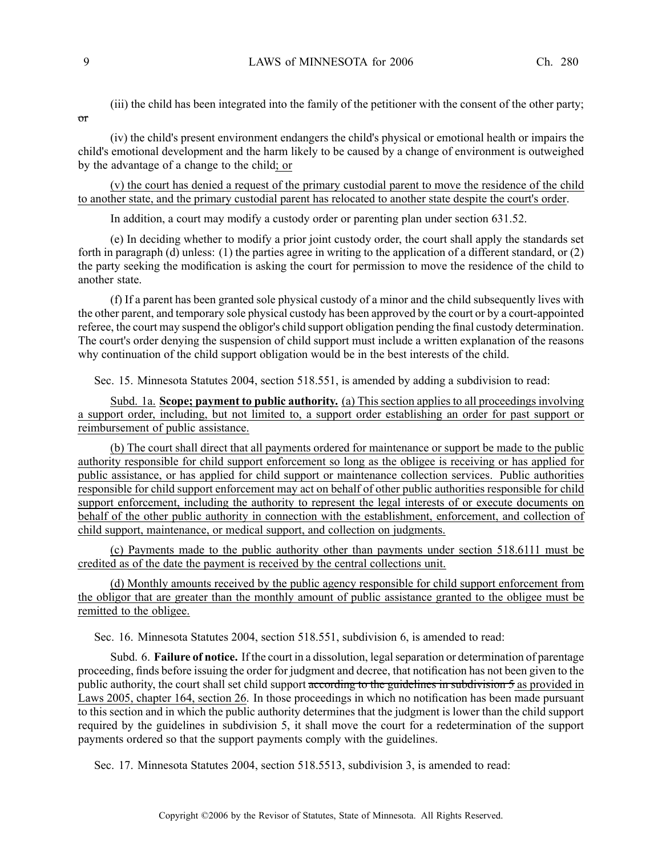or

(iii) the child has been integrated into the family of the petitioner with the consent of the other party;

(iv) the child's presen<sup>t</sup> environment endangers the child's physical or emotional health or impairs the child's emotional development and the harm likely to be caused by <sup>a</sup> change of environment is outweighed by the advantage of <sup>a</sup> change to the child; or

(v) the court has denied <sup>a</sup> reques<sup>t</sup> of the primary custodial paren<sup>t</sup> to move the residence of the child to another state, and the primary custodial paren<sup>t</sup> has relocated to another state despite the court's order.

In addition, <sup>a</sup> court may modify <sup>a</sup> custody order or parenting plan under section 631.52.

(e) In deciding whether to modify <sup>a</sup> prior joint custody order, the court shall apply the standards set forth in paragraph (d) unless: (1) the parties agree in writing to the application of <sup>a</sup> different standard, or (2) the party seeking the modification is asking the court for permission to move the residence of the child to another state.

(f) If <sup>a</sup> paren<sup>t</sup> has been granted sole physical custody of <sup>a</sup> minor and the child subsequently lives with the other parent, and temporary sole physical custody has been approved by the court or by <sup>a</sup> court-appointed referee, the court may suspend the obligor's child suppor<sup>t</sup> obligation pending the final custody determination. The court's order denying the suspension of child suppor<sup>t</sup> must include <sup>a</sup> written explanation of the reasons why continuation of the child suppor<sup>t</sup> obligation would be in the best interests of the child.

Sec. 15. Minnesota Statutes 2004, section 518.551, is amended by adding <sup>a</sup> subdivision to read:

Subd. 1a. **Scope; paymen<sup>t</sup> to public authority.** (a) This section applies to all proceedings involving <sup>a</sup> suppor<sup>t</sup> order, including, but not limited to, <sup>a</sup> suppor<sup>t</sup> order establishing an order for pas<sup>t</sup> suppor<sup>t</sup> or reimbursement of public assistance.

(b) The court shall direct that all payments ordered for maintenance or suppor<sup>t</sup> be made to the public authority responsible for child suppor<sup>t</sup> enforcement so long as the obligee is receiving or has applied for public assistance, or has applied for child suppor<sup>t</sup> or maintenance collection services. Public authorities responsible for child suppor<sup>t</sup> enforcement may act on behalf of other public authorities responsible for child support enforcement, including the authority to represent the legal interests of or execute documents on behalf of the other public authority in connection with the establishment, enforcement, and collection of child support, maintenance, or medical support, and collection on judgments.

(c) Payments made to the public authority other than payments under section 518.6111 must be credited as of the date the paymen<sup>t</sup> is received by the central collections unit.

(d) Monthly amounts received by the public agency responsible for child suppor<sup>t</sup> enforcement from the obligor that are greater than the monthly amount of public assistance granted to the obligee must be remitted to the obligee.

Sec. 16. Minnesota Statutes 2004, section 518.551, subdivision 6, is amended to read:

Subd. 6. **Failure of notice.** If the court in a dissolution, legal separation or determination of parentage proceeding, finds before issuing the order for judgment and decree, that notification has not been given to the public authority, the court shall set child support according to the guidelines in subdivision 5 as provided in Laws 2005, chapter 164, section 26. In those proceedings in which no notification has been made pursuan<sup>t</sup> to this section and in which the public authority determines that the judgment is lower than the child suppor<sup>t</sup> required by the guidelines in subdivision 5, it shall move the court for <sup>a</sup> redetermination of the suppor<sup>t</sup> payments ordered so that the suppor<sup>t</sup> payments comply with the guidelines.

Sec. 17. Minnesota Statutes 2004, section 518.5513, subdivision 3, is amended to read: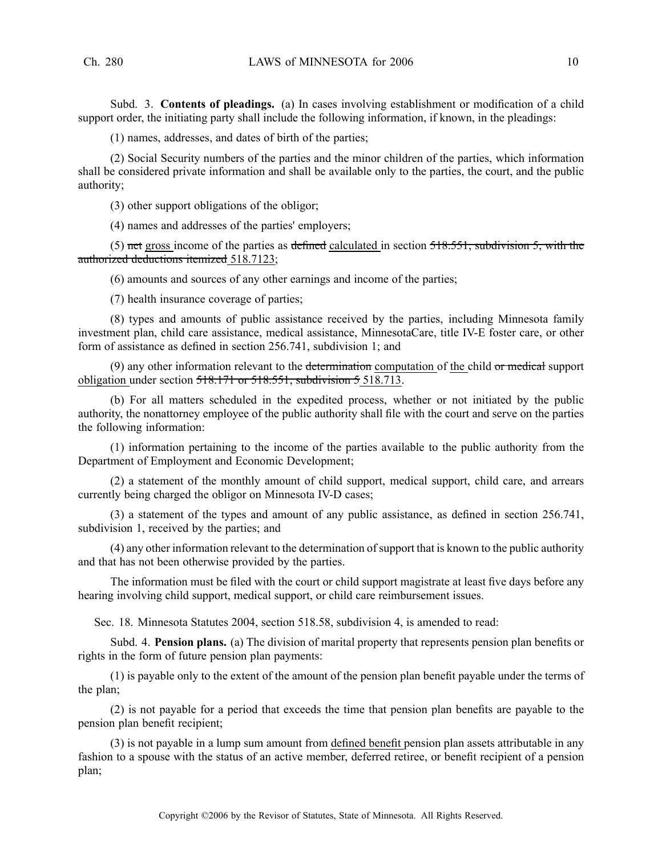Subd. 3. **Contents of pleadings.** (a) In cases involving establishment or modification of <sup>a</sup> child suppor<sup>t</sup> order, the initiating party shall include the following information, if known, in the pleadings:

(1) names, addresses, and dates of birth of the parties;

(2) Social Security numbers of the parties and the minor children of the parties, which information shall be considered private information and shall be available only to the parties, the court, and the public authority;

(3) other suppor<sup>t</sup> obligations of the obligor;

(4) names and addresses of the parties' employers;

(5) net gross income of the parties as defined calculated in section  $518.551$ , subdivision 5, with the authorized deductions itemized 518.7123;

(6) amounts and sources of any other earnings and income of the parties;

(7) health insurance coverage of parties;

(8) types and amounts of public assistance received by the parties, including Minnesota family investment plan, child care assistance, medical assistance, MinnesotaCare, title IV-E foster care, or other form of assistance as defined in section 256.741, subdivision 1; and

(9) any other information relevant to the determination computation of the child or medical support obligation under section 518.171 or 518.551, subdivision 5 518.713.

(b) For all matters scheduled in the expedited process, whether or not initiated by the public authority, the nonattorney employee of the public authority shall file with the court and serve on the parties the following information:

(1) information pertaining to the income of the parties available to the public authority from the Department of Employment and Economic Development;

(2) <sup>a</sup> statement of the monthly amount of child support, medical support, child care, and arrears currently being charged the obligor on Minnesota IV-D cases;

(3) <sup>a</sup> statement of the types and amount of any public assistance, as defined in section 256.741, subdivision 1, received by the parties; and

(4) any other information relevant to the determination ofsupport that is known to the public authority and that has not been otherwise provided by the parties.

The information must be filed with the court or child suppor<sup>t</sup> magistrate at least five days before any hearing involving child support, medical support, or child care reimbursement issues.

Sec. 18. Minnesota Statutes 2004, section 518.58, subdivision 4, is amended to read:

Subd. 4. **Pension plans.** (a) The division of marital property that represents pension plan benefits or rights in the form of future pension plan payments:

(1) is payable only to the extent of the amount of the pension plan benefit payable under the terms of the plan;

(2) is not payable for <sup>a</sup> period that exceeds the time that pension plan benefits are payable to the pension plan benefit recipient;

(3) is not payable in <sup>a</sup> lump sum amount from defined benefit pension plan assets attributable in any fashion to <sup>a</sup> spouse with the status of an active member, deferred retiree, or benefit recipient of <sup>a</sup> pension plan;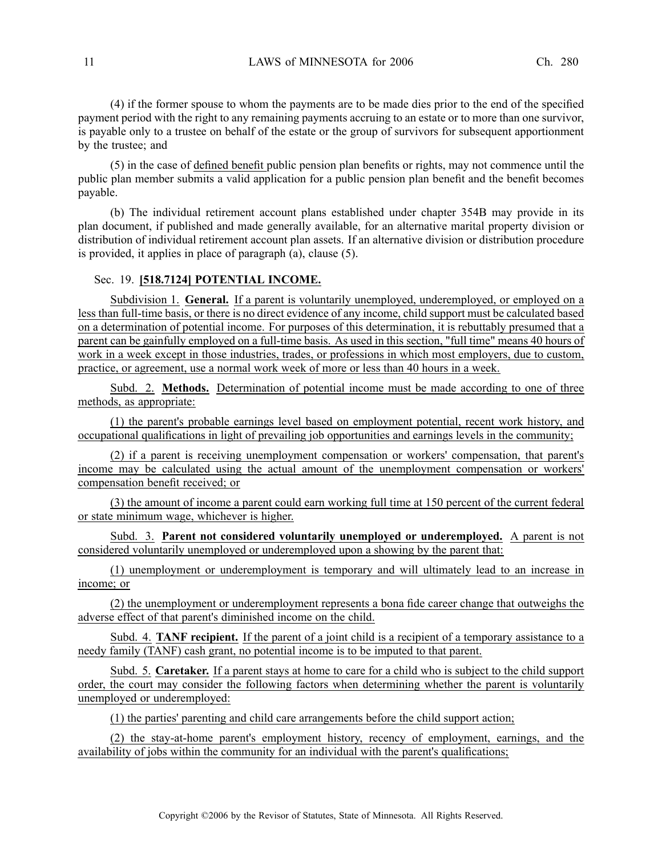(4) if the former spouse to whom the payments are to be made dies prior to the end of the specified paymen<sup>t</sup> period with the right to any remaining payments accruing to an estate or to more than one survivor, is payable only to <sup>a</sup> trustee on behalf of the estate or the group of survivors for subsequent apportionment by the trustee; and

(5) in the case of defined benefit public pension plan benefits or rights, may not commence until the public plan member submits <sup>a</sup> valid application for <sup>a</sup> public pension plan benefit and the benefit becomes payable.

(b) The individual retirement account plans established under chapter 354B may provide in its plan document, if published and made generally available, for an alternative marital property division or distribution of individual retirement account plan assets. If an alternative division or distribution procedure is provided, it applies in place of paragraph (a), clause (5).

### Sec. 19. **[518.7124] POTENTIAL INCOME.**

Subdivision 1. **General.** If <sup>a</sup> paren<sup>t</sup> is voluntarily unemployed, underemployed, or employed on <sup>a</sup> less than full-time basis, or there is no direct evidence of any income, child suppor<sup>t</sup> must be calculated based on <sup>a</sup> determination of potential income. For purposes of this determination, it is rebuttably presumed that <sup>a</sup> paren<sup>t</sup> can be gainfully employed on <sup>a</sup> full-time basis. As used in this section, "full time" means 40 hours of work in <sup>a</sup> week excep<sup>t</sup> in those industries, trades, or professions in which most employers, due to custom, practice, or agreement, use <sup>a</sup> normal work week of more or less than 40 hours in <sup>a</sup> week.

Subd. 2. **Methods.** Determination of potential income must be made according to one of three methods, as appropriate:

(1) the parent's probable earnings level based on employment potential, recent work history, and occupational qualifications in light of prevailing job opportunities and earnings levels in the community;

(2) if <sup>a</sup> paren<sup>t</sup> is receiving unemployment compensation or workers' compensation, that parent's income may be calculated using the actual amount of the unemployment compensation or workers' compensation benefit received; or

(3) the amount of income <sup>a</sup> paren<sup>t</sup> could earn working full time at 150 percen<sup>t</sup> of the current federal or state minimum wage, whichever is higher.

Subd. 3. **Parent not considered voluntarily unemployed or underemployed.** A paren<sup>t</sup> is not considered voluntarily unemployed or underemployed upon <sup>a</sup> showing by the paren<sup>t</sup> that:

(1) unemployment or underemployment is temporary and will ultimately lead to an increase in income; or

(2) the unemployment or underemployment represents <sup>a</sup> bona fide career change that outweighs the adverse effect of that parent's diminished income on the child.

Subd. 4. **TANF recipient.** If the paren<sup>t</sup> of <sup>a</sup> joint child is <sup>a</sup> recipient of <sup>a</sup> temporary assistance to <sup>a</sup> needy family (TANF) cash grant, no potential income is to be imputed to that parent.

Subd. 5. **Caretaker.** If <sup>a</sup> paren<sup>t</sup> stays at home to care for <sup>a</sup> child who is subject to the child suppor<sup>t</sup> order, the court may consider the following factors when determining whether the paren<sup>t</sup> is voluntarily unemployed or underemployed:

(1) the parties' parenting and child care arrangements before the child suppor<sup>t</sup> action;

(2) the stay-at-home parent's employment history, recency of employment, earnings, and the availability of jobs within the community for an individual with the parent's qualifications;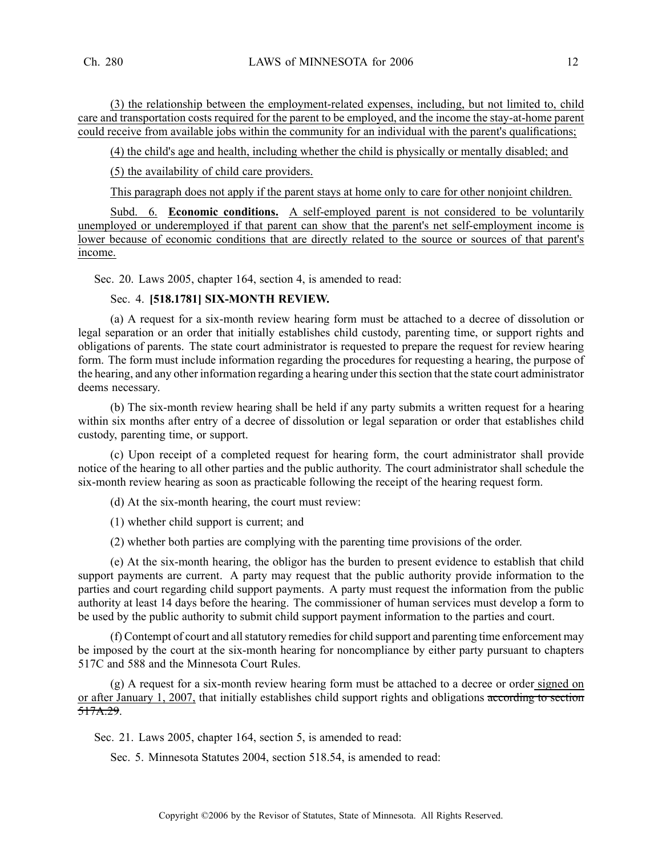(3) the relationship between the employment-related expenses, including, but not limited to, child care and transportation costs required for the paren<sup>t</sup> to be employed, and the income the stay-at-home paren<sup>t</sup> could receive from available jobs within the community for an individual with the parent's qualifications;

(4) the child's age and health, including whether the child is physically or mentally disabled; and

(5) the availability of child care providers.

This paragraph does not apply if the paren<sup>t</sup> stays at home only to care for other nonjoint children.

Subd. 6. **Economic conditions.** A self-employed paren<sup>t</sup> is not considered to be voluntarily unemployed or underemployed if that parent can show that the parent's net self-employment income is lower because of economic conditions that are directly related to the source or sources of that parent's income.

Sec. 20. Laws 2005, chapter 164, section 4, is amended to read:

# Sec. 4. **[518.1781] SIX-MONTH REVIEW.**

(a) A reques<sup>t</sup> for <sup>a</sup> six-month review hearing form must be attached to <sup>a</sup> decree of dissolution or legal separation or an order that initially establishes child custody, parenting time, or suppor<sup>t</sup> rights and obligations of parents. The state court administrator is requested to prepare the reques<sup>t</sup> for review hearing form. The form must include information regarding the procedures for requesting <sup>a</sup> hearing, the purpose of the hearing, and any other information regarding <sup>a</sup> hearing under thissection that the state court administrator deems necessary.

(b) The six-month review hearing shall be held if any party submits <sup>a</sup> written reques<sup>t</sup> for <sup>a</sup> hearing within six months after entry of <sup>a</sup> decree of dissolution or legal separation or order that establishes child custody, parenting time, or support.

(c) Upon receipt of <sup>a</sup> completed reques<sup>t</sup> for hearing form, the court administrator shall provide notice of the hearing to all other parties and the public authority. The court administrator shall schedule the six-month review hearing as soon as practicable following the receipt of the hearing reques<sup>t</sup> form.

(d) At the six-month hearing, the court must review:

(1) whether child suppor<sup>t</sup> is current; and

(2) whether both parties are complying with the parenting time provisions of the order.

(e) At the six-month hearing, the obligor has the burden to presen<sup>t</sup> evidence to establish that child suppor<sup>t</sup> payments are current. A party may reques<sup>t</sup> that the public authority provide information to the parties and court regarding child suppor<sup>t</sup> payments. A party must reques<sup>t</sup> the information from the public authority at least 14 days before the hearing. The commissioner of human services must develop <sup>a</sup> form to be used by the public authority to submit child suppor<sup>t</sup> paymen<sup>t</sup> information to the parties and court.

(f) Contempt of court and all statutory remedies for child support and parenting time enforcement may be imposed by the court at the six-month hearing for noncompliance by either party pursuan<sup>t</sup> to chapters 517C and 588 and the Minnesota Court Rules.

(g) A reques<sup>t</sup> for <sup>a</sup> six-month review hearing form must be attached to <sup>a</sup> decree or order signed on or after January 1, 2007, that initially establishes child suppor<sup>t</sup> rights and obligations according to section 517A.29.

Sec. 21. Laws 2005, chapter 164, section 5, is amended to read:

Sec. 5. Minnesota Statutes 2004, section 518.54, is amended to read: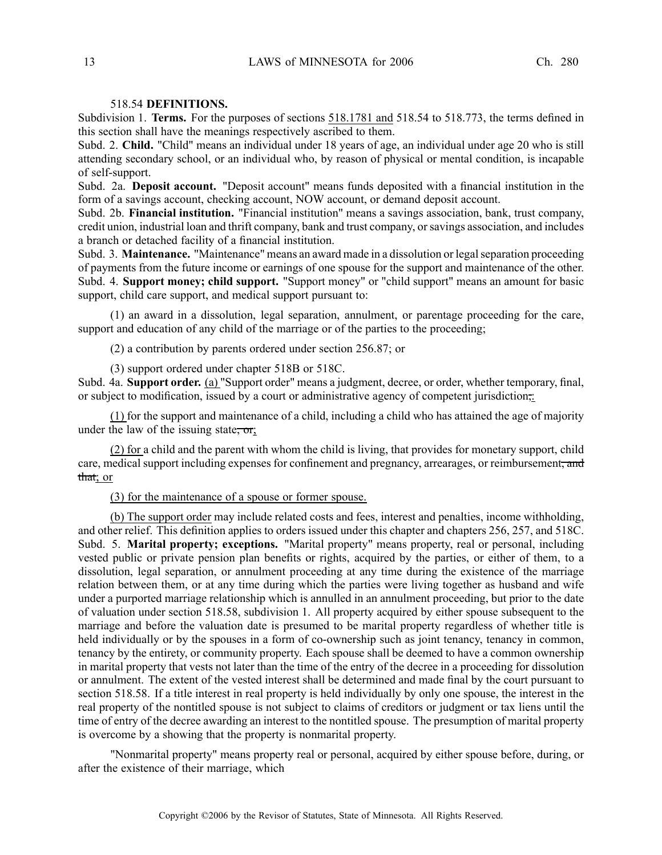# 518.54 **DEFINITIONS.**

Subdivision 1. **Terms.** For the purposes of sections 518.1781 and 518.54 to 518.773, the terms defined in this section shall have the meanings respectively ascribed to them.

Subd. 2. **Child.** "Child" means an individual under 18 years of age, an individual under age 20 who is still attending secondary school, or an individual who, by reason of physical or mental condition, is incapable of self-support.

Subd. 2a. **Deposit account.** "Deposit account" means funds deposited with <sup>a</sup> financial institution in the form of <sup>a</sup> savings account, checking account, NOW account, or demand deposit account.

Subd. 2b. **Financial institution.** "Financial institution" means <sup>a</sup> savings association, bank, trust company, credit union, industrial loan and thrift company, bank and trust company, orsavings association, and includes <sup>a</sup> branch or detached facility of <sup>a</sup> financial institution.

Subd. 3. **Maintenance.** "Maintenance" means an award made in <sup>a</sup> dissolution or legalseparation proceeding of payments from the future income or earnings of one spouse for the suppor<sup>t</sup> and maintenance of the other. Subd. 4. **Support money; child support.** "Support money" or "child support" means an amount for basic support, child care support, and medical suppor<sup>t</sup> pursuan<sup>t</sup> to:

(1) an award in <sup>a</sup> dissolution, legal separation, annulment, or parentage proceeding for the care, support and education of any child of the marriage or of the parties to the proceeding;

(2) <sup>a</sup> contribution by parents ordered under section 256.87; or

(3) suppor<sup>t</sup> ordered under chapter 518B or 518C.

Subd. 4a. **Support order.** (a) "Support order" means <sup>a</sup> judgment, decree, or order, whether temporary, final, or subject to modification, issued by a court or administrative agency of competent jurisdiction,.

(1) for the suppor<sup>t</sup> and maintenance of <sup>a</sup> child, including <sup>a</sup> child who has attained the age of majority under the law of the issuing state, or;

(2) for <sup>a</sup> child and the paren<sup>t</sup> with whom the child is living, that provides for monetary support, child care, medical support including expenses for confinement and pregnancy, arrearages, or reimbursement, and that; or

# (3) for the maintenance of <sup>a</sup> spouse or former spouse.

(b) The suppor<sup>t</sup> order may include related costs and fees, interest and penalties, income withholding, and other relief. This definition applies to orders issued under this chapter and chapters 256, 257, and 518C. Subd. 5. **Marital property; exceptions.** "Marital property" means property, real or personal, including vested public or private pension plan benefits or rights, acquired by the parties, or either of them, to <sup>a</sup> dissolution, legal separation, or annulment proceeding at any time during the existence of the marriage relation between them, or at any time during which the parties were living together as husband and wife under <sup>a</sup> purported marriage relationship which is annulled in an annulment proceeding, but prior to the date of valuation under section 518.58, subdivision 1. All property acquired by either spouse subsequent to the marriage and before the valuation date is presumed to be marital property regardless of whether title is held individually or by the spouses in a form of co-ownership such as joint tenancy, tenancy in common, tenancy by the entirety, or community property. Each spouse shall be deemed to have <sup>a</sup> common ownership in marital property that vests not later than the time of the entry of the decree in <sup>a</sup> proceeding for dissolution or annulment. The extent of the vested interest shall be determined and made final by the court pursuan<sup>t</sup> to section 518.58. If <sup>a</sup> title interest in real property is held individually by only one spouse, the interest in the real property of the nontitled spouse is not subject to claims of creditors or judgment or tax liens until the time of entry of the decree awarding an interest to the nontitled spouse. The presumption of marital property is overcome by <sup>a</sup> showing that the property is nonmarital property.

"Nonmarital property" means property real or personal, acquired by either spouse before, during, or after the existence of their marriage, which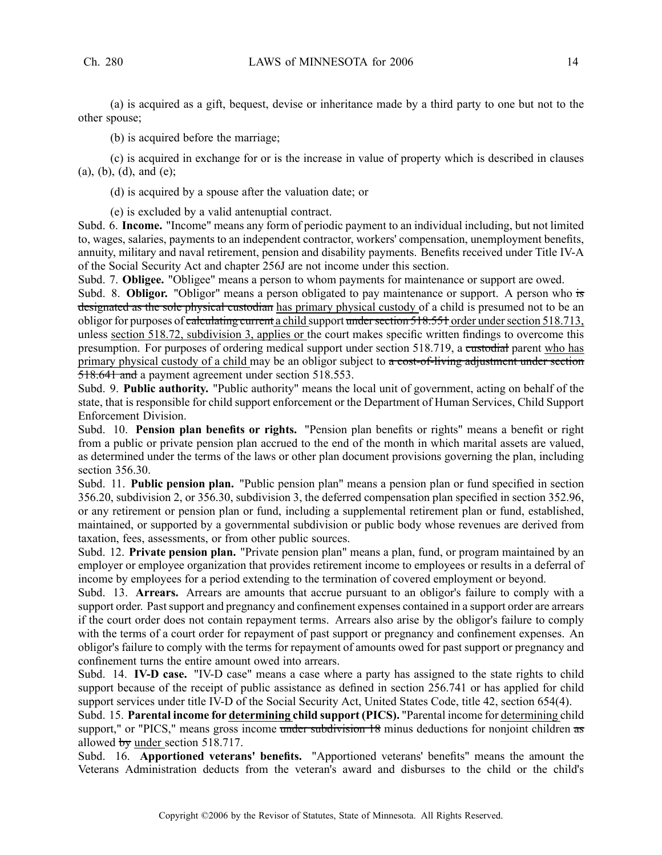(a) is acquired as <sup>a</sup> gift, bequest, devise or inheritance made by <sup>a</sup> third party to one but not to the other spouse;

(b) is acquired before the marriage;

(c) is acquired in exchange for or is the increase in value of property which is described in clauses (a), (b), (d), and (e);

(d) is acquired by <sup>a</sup> spouse after the valuation date; or

(e) is excluded by <sup>a</sup> valid antenuptial contract.

Subd. 6. **Income.** "Income" means any form of periodic paymen<sup>t</sup> to an individual including, but not limited to, wages, salaries, payments to an independent contractor, workers' compensation, unemployment benefits, annuity, military and naval retirement, pension and disability payments. Benefits received under Title IV-A of the Social Security Act and chapter 256J are not income under this section.

Subd. 7. **Obligee.** "Obligee" means <sup>a</sup> person to whom payments for maintenance or suppor<sup>t</sup> are owed.

Subd. 8. **Obligor.** "Obligor" means <sup>a</sup> person obligated to pay maintenance or support. A person who is designated as the sole physical custodian has primary physical custody of a child is presumed not to be an obligor for purposes of calculating current a child support under section 518.551 order under section 518.713, unless section 518.72, subdivision 3, applies or the court makes specific written findings to overcome this presumption. For purposes of ordering medical support under section 518.719, a custodial parent who has primary physical custody of a child may be an obligor subject to  $\alpha$  cost-of-living adjustment under section 518.641 and <sup>a</sup> paymen<sup>t</sup> agreemen<sup>t</sup> under section 518.553.

Subd. 9. **Public authority.** "Public authority" means the local unit of government, acting on behalf of the state, that is responsible for child suppor<sup>t</sup> enforcement or the Department of Human Services, Child Support Enforcement Division.

Subd. 10. **Pension plan benefits or rights.** "Pension plan benefits or rights" means <sup>a</sup> benefit or right from <sup>a</sup> public or private pension plan accrued to the end of the month in which marital assets are valued, as determined under the terms of the laws or other plan document provisions governing the plan, including section 356.30.

Subd. 11. **Public pension plan.** "Public pension plan" means <sup>a</sup> pension plan or fund specified in section 356.20, subdivision 2, or 356.30, subdivision 3, the deferred compensation plan specified in section 352.96, or any retirement or pension plan or fund, including <sup>a</sup> supplemental retirement plan or fund, established, maintained, or supported by <sup>a</sup> governmental subdivision or public body whose revenues are derived from taxation, fees, assessments, or from other public sources.

Subd. 12. **Private pension plan.** "Private pension plan" means <sup>a</sup> plan, fund, or program maintained by an employer or employee organization that provides retirement income to employees or results in <sup>a</sup> deferral of income by employees for <sup>a</sup> period extending to the termination of covered employment or beyond.

Subd. 13. **Arrears.** Arrears are amounts that accrue pursuan<sup>t</sup> to an obligor's failure to comply with <sup>a</sup> support order. Past support and pregnancy and confinement expenses contained in a support order are arrears if the court order does not contain repaymen<sup>t</sup> terms. Arrears also arise by the obligor's failure to comply with the terms of a court order for repayment of past support or pregnancy and confinement expenses. An obligor's failure to comply with the terms for repaymen<sup>t</sup> of amounts owed for pas<sup>t</sup> suppor<sup>t</sup> or pregnancy and confinement turns the entire amount owed into arrears.

Subd. 14. **IV-D case.** "IV-D case" means <sup>a</sup> case where <sup>a</sup> party has assigned to the state rights to child suppor<sup>t</sup> because of the receipt of public assistance as defined in section 256.741 or has applied for child suppor<sup>t</sup> services under title IV-D of the Social Security Act, United States Code, title 42, section 654(4).

Subd. 15. **Parental income for determining child suppor<sup>t</sup> (PICS).** "Parental income for determining child support," or "PICS," means gross income under subdivision 18 minus deductions for nonjoint children as allowed by under section 518.717.

Subd. 16. **Apportioned veterans' benefits.** "Apportioned veterans' benefits" means the amount the Veterans Administration deducts from the veteran's award and disburses to the child or the child's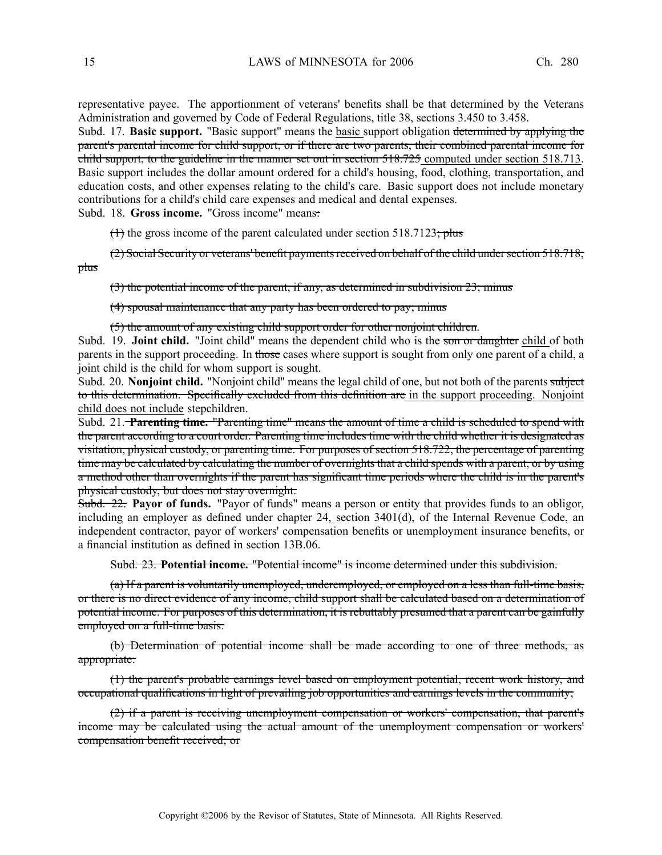representative payee. The apportionment of veterans' benefits shall be that determined by the Veterans Administration and governed by Code of Federal Regulations, title 38, sections 3.450 to 3.458.

Subd. 17. **Basic support.** "Basic support" means the basic suppor<sup>t</sup> obligation determined by applying the parent's parental income for child support, or if there are two parents, their combined parental income for child support, to the guideline in the manner set out in section 518.725 computed under section 518.713. Basic suppor<sup>t</sup> includes the dollar amount ordered for <sup>a</sup> child's housing, food, clothing, transportation, and education costs, and other expenses relating to the child's care. Basic suppor<sup>t</sup> does not include monetary contributions for <sup>a</sup> child's child care expenses and medical and dental expenses.

Subd. 18. **Gross income.** "Gross income" means:

 $(1)$  the gross income of the parent calculated under section 518.7123; plus

(2) Social Security or veterans' benefit paymentsreceived on behalf of the child undersection 518.718; plus

(3) the potential income of the parent, if any, as determined in subdivision 23; minus

(4) spousal maintenance that any party has been ordered to pay; minus

(5) the amount of any existing child suppor<sup>t</sup> order for other nonjoint children.

Subd. 19. **Joint child.** "Joint child" means the dependent child who is the son or daughter child of both parents in the support proceeding. In those cases where support is sought from only one parent of a child, a joint child is the child for whom suppor<sup>t</sup> is sought.

Subd. 20. **Nonjoint child.** "Nonjoint child" means the legal child of one, but not both of the parents subject to this determination. Specifically excluded from this definition are in the suppor<sup>t</sup> proceeding. Nonjoint child does not include stepchildren.

Subd. 21. **Parenting time.** "Parenting time" means the amount of time <sup>a</sup> child is scheduled to spend with the paren<sup>t</sup> according to <sup>a</sup> court order. Parenting time includes time with the child whether it is designated as visitation, physical custody, or parenting time. For purposes of section 518.722, the percentage of parenting time may be calculated by calculating the number of overnights that <sup>a</sup> child spends with <sup>a</sup> parent, or by using <sup>a</sup> method other than overnights if the paren<sup>t</sup> has significant time periods where the child is in the parent's physical custody, but does not stay overnight.

Subd. 22. **Payor of funds.** "Payor of funds" means <sup>a</sup> person or entity that provides funds to an obligor, including an employer as defined under chapter 24, section 3401(d), of the Internal Revenue Code, an independent contractor, payor of workers' compensation benefits or unemployment insurance benefits, or <sup>a</sup> financial institution as defined in section 13B.06.

Subd. 23. **Potential income.** "Potential income" is income determined under this subdivision.

(a) If <sup>a</sup> paren<sup>t</sup> is voluntarily unemployed, underemployed, or employed on <sup>a</sup> less than full-time basis, or there is no direct evidence of any income, child suppor<sup>t</sup> shall be calculated based on <sup>a</sup> determination of potential income. For purposes of this determination, it is rebuttably presumed that <sup>a</sup> paren<sup>t</sup> can be gainfully employed on <sup>a</sup> full-time basis.

(b) Determination of potential income shall be made according to one of three methods, as appropriate:

(1) the parent's probable earnings level based on employment potential, recent work history, and occupational qualifications in light of prevailing job opportunities and earnings levels in the community;

(2) if <sup>a</sup> paren<sup>t</sup> is receiving unemployment compensation or workers' compensation, that parent's income may be calculated using the actual amount of the unemployment compensation or workers' compensation benefit received; or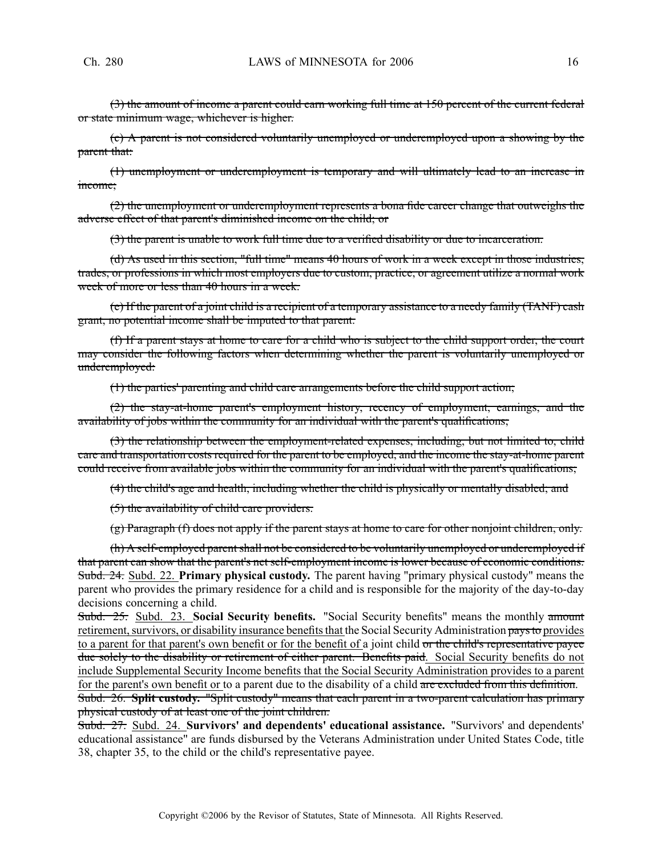(3) the amount of income <sup>a</sup> paren<sup>t</sup> could earn working full time at 150 percen<sup>t</sup> of the current federal or state minimum wage, whichever is higher.

(c) A paren<sup>t</sup> is not considered voluntarily unemployed or underemployed upon <sup>a</sup> showing by the paren<sup>t</sup> that:

(1) unemployment or underemployment is temporary and will ultimately lead to an increase in income;

(2) the unemployment or underemployment represents <sup>a</sup> bona fide career change that outweighs the adverse effect of that parent's diminished income on the child; or

(3) the paren<sup>t</sup> is unable to work full time due to <sup>a</sup> verified disability or due to incarceration.

(d) As used in this section, "full time" means 40 hours of work in <sup>a</sup> week excep<sup>t</sup> in those industries, trades, or professions in which most employers due to custom, practice, or agreemen<sup>t</sup> utilize <sup>a</sup> normal work week of more or less than 40 hours in a week.

(e) If the paren<sup>t</sup> of <sup>a</sup> joint child is <sup>a</sup> recipient of <sup>a</sup> temporary assistance to <sup>a</sup> needy family (TANF) cash grant, no potential income shall be imputed to that parent.

(f) If <sup>a</sup> paren<sup>t</sup> stays at home to care for <sup>a</sup> child who is subject to the child suppor<sup>t</sup> order, the court may consider the following factors when determining whether the paren<sup>t</sup> is voluntarily unemployed or underemployed:

(1) the parties' parenting and child care arrangements before the child suppor<sup>t</sup> action;

(2) the stay-at-home parent's employment history, recency of employment, earnings, and the availability of jobs within the community for an individual with the parent's qualifications;

(3) the relationship between the employment-related expenses, including, but not limited to, child care and transportation costs required for the paren<sup>t</sup> to be employed, and the income the stay-at-home paren<sup>t</sup> could receive from available jobs within the community for an individual with the parent's qualifications;

(4) the child's age and health, including whether the child is physically or mentally disabled; and

(5) the availability of child care providers.

(g) Paragraph (f) does not apply if the paren<sup>t</sup> stays at home to care for other nonjoint children, only.

(h) A self-employed parentshall not be considered to be voluntarily unemployed or underemployed if that paren<sup>t</sup> can show that the parent's net self-employment income is lower because of economic conditions. Subd. 24. Subd. 22. **Primary physical custody.** The paren<sup>t</sup> having "primary physical custody" means the paren<sup>t</sup> who provides the primary residence for <sup>a</sup> child and is responsible for the majority of the day-to-day decisions concerning <sup>a</sup> child.

Subd. 25. Subd. 23. **Social Security benefits.** "Social Security benefits" means the monthly amount retirement, survivors, or disability insurance benefits that the Social Security Administration pays to provides to a parent for that parent's own benefit or for the benefit of a joint child or the child's representative payee due solely to the disability or retirement of either parent. Benefits paid. Social Security benefits do not include Supplemental Security Income benefits that the Social Security Administration provides to <sup>a</sup> paren<sup>t</sup> for the parent's own benefit or to a parent due to the disability of a child are excluded from this definition. Subd. 26. **Split custody.** "Split custody" means that each paren<sup>t</sup> in <sup>a</sup> two-parent calculation has primary

physical custody of at least one of the joint children.

Subd. 27. Subd. 24. **Survivors' and dependents' educational assistance.** "Survivors' and dependents' educational assistance" are funds disbursed by the Veterans Administration under United States Code, title 38, chapter 35, to the child or the child's representative payee.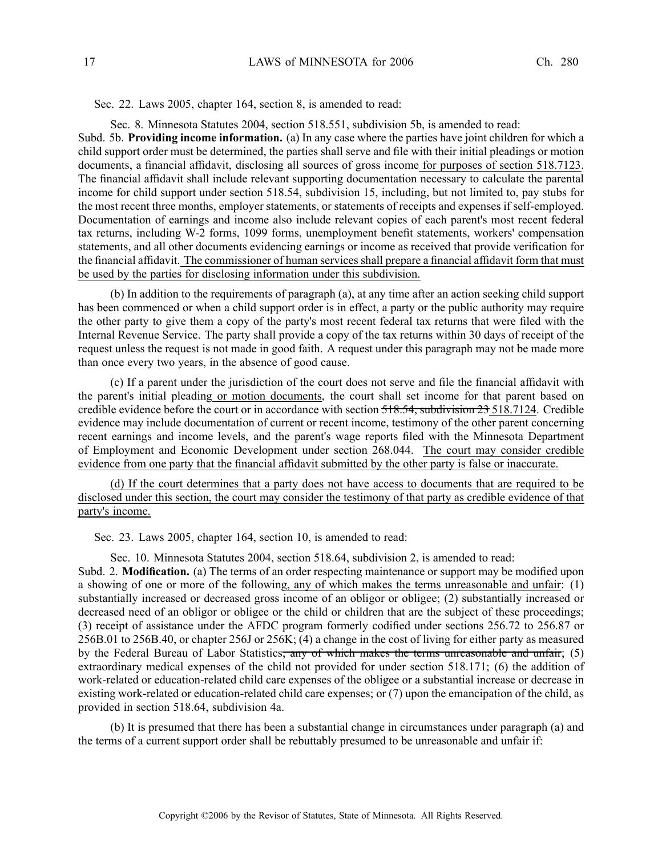Sec. 22. Laws 2005, chapter 164, section 8, is amended to read:

Sec. 8. Minnesota Statutes 2004, section 518.551, subdivision 5b, is amended to read:

Subd. 5b. **Providing income information.** (a) In any case where the parties have joint children for which <sup>a</sup> child suppor<sup>t</sup> order must be determined, the parties shall serve and file with their initial pleadings or motion documents, <sup>a</sup> financial affidavit, disclosing all sources of gross income for purposes of section 518.7123. The financial affidavit shall include relevant supporting documentation necessary to calculate the parental income for child suppor<sup>t</sup> under section 518.54, subdivision 15, including, but not limited to, pay stubs for the most recent three months, employer statements, or statements of receipts and expenses if self-employed. Documentation of earnings and income also include relevant copies of each parent's most recent federal tax returns, including W-2 forms, 1099 forms, unemployment benefit statements, workers' compensation statements, and all other documents evidencing earnings or income as received that provide verification for the financial affidavit. The commissioner of human services shall prepare <sup>a</sup> financial affidavit form that must be used by the parties for disclosing information under this subdivision.

(b) In addition to the requirements of paragraph (a), at any time after an action seeking child suppor<sup>t</sup> has been commenced or when <sup>a</sup> child suppor<sup>t</sup> order is in effect, <sup>a</sup> party or the public authority may require the other party to give them <sup>a</sup> copy of the party's most recent federal tax returns that were filed with the Internal Revenue Service. The party shall provide <sup>a</sup> copy of the tax returns within 30 days of receipt of the reques<sup>t</sup> unless the reques<sup>t</sup> is not made in good faith. A reques<sup>t</sup> under this paragraph may not be made more than once every two years, in the absence of good cause.

(c) If <sup>a</sup> paren<sup>t</sup> under the jurisdiction of the court does not serve and file the financial affidavit with the parent's initial pleading or motion documents, the court shall set income for that paren<sup>t</sup> based on credible evidence before the court or in accordance with section 518.54, subdivision 23 518.7124. Credible evidence may include documentation of current or recent income, testimony of the other paren<sup>t</sup> concerning recent earnings and income levels, and the parent's wage reports filed with the Minnesota Department of Employment and Economic Development under section 268.044. The court may consider credible evidence from one party that the financial affidavit submitted by the other party is false or inaccurate.

(d) If the court determines that <sup>a</sup> party does not have access to documents that are required to be disclosed under this section, the court may consider the testimony of that party as credible evidence of that party's income.

Sec. 23. Laws 2005, chapter 164, section 10, is amended to read:

Sec. 10. Minnesota Statutes 2004, section 518.64, subdivision 2, is amended to read: Subd. 2. **Modification.** (a) The terms of an order respecting maintenance or suppor<sup>t</sup> may be modified upon <sup>a</sup> showing of one or more of the following, any of which makes the terms unreasonable and unfair: (1) substantially increased or decreased gross income of an obligor or obligee; (2) substantially increased or decreased need of an obligor or obligee or the child or children that are the subject of these proceedings; (3) receipt of assistance under the AFDC program formerly codified under sections 256.72 to 256.87 or 256B.01 to 256B.40, or chapter 256J or 256K; (4) <sup>a</sup> change in the cost of living for either party as measured by the Federal Bureau of Labor Statistics<del>, any of which makes the terms unreasonable and unfair</del>; (5) extraordinary medical expenses of the child not provided for under section 518.171; (6) the addition of work-related or education-related child care expenses of the obligee or <sup>a</sup> substantial increase or decrease in existing work-related or education-related child care expenses; or (7) upon the emancipation of the child, as provided in section 518.64, subdivision 4a.

(b) It is presumed that there has been <sup>a</sup> substantial change in circumstances under paragraph (a) and the terms of <sup>a</sup> current suppor<sup>t</sup> order shall be rebuttably presumed to be unreasonable and unfair if: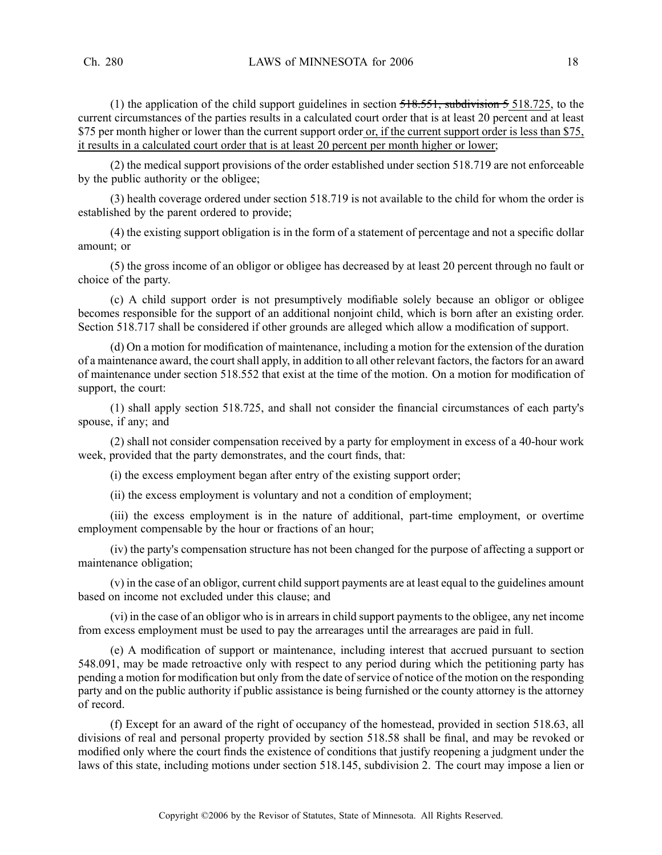(1) the application of the child support guidelines in section  $\overline{518.551}$ , subdivision 5 518.725, to the current circumstances of the parties results in <sup>a</sup> calculated court order that is at least 20 percen<sup>t</sup> and at least \$75 per month higher or lower than the current support order or, if the current support order is less than \$75, it results in <sup>a</sup> calculated court order that is at least 20 percen<sup>t</sup> per month higher or lower;

(2) the medical suppor<sup>t</sup> provisions of the order established under section 518.719 are not enforceable by the public authority or the obligee;

(3) health coverage ordered under section 518.719 is not available to the child for whom the order is established by the paren<sup>t</sup> ordered to provide;

(4) the existing suppor<sup>t</sup> obligation is in the form of <sup>a</sup> statement of percentage and not <sup>a</sup> specific dollar amount; or

(5) the gross income of an obligor or obligee has decreased by at least 20 percen<sup>t</sup> through no fault or choice of the party.

(c) A child suppor<sup>t</sup> order is not presumptively modifiable solely because an obligor or obligee becomes responsible for the suppor<sup>t</sup> of an additional nonjoint child, which is born after an existing order. Section 518.717 shall be considered if other grounds are alleged which allow <sup>a</sup> modification of support.

(d) On <sup>a</sup> motion for modification of maintenance, including <sup>a</sup> motion for the extension of the duration of a maintenance award, the court shall apply, in addition to all other relevant factors, the factors for an award of maintenance under section 518.552 that exist at the time of the motion. On <sup>a</sup> motion for modification of support, the court:

(1) shall apply section 518.725, and shall not consider the financial circumstances of each party's spouse, if any; and

(2) shall not consider compensation received by <sup>a</sup> party for employment in excess of <sup>a</sup> 40-hour work week, provided that the party demonstrates, and the court finds, that:

(i) the excess employment began after entry of the existing suppor<sup>t</sup> order;

(ii) the excess employment is voluntary and not <sup>a</sup> condition of employment;

(iii) the excess employment is in the nature of additional, part-time employment, or overtime employment compensable by the hour or fractions of an hour;

(iv) the party's compensation structure has not been changed for the purpose of affecting <sup>a</sup> suppor<sup>t</sup> or maintenance obligation;

(v) in the case of an obligor, current child suppor<sup>t</sup> payments are at least equal to the guidelines amount based on income not excluded under this clause; and

(vi) in the case of an obligor who is in arrears in child support payments to the obligee, any net income from excess employment must be used to pay the arrearages until the arrearages are paid in full.

(e) A modification of suppor<sup>t</sup> or maintenance, including interest that accrued pursuan<sup>t</sup> to section 548.091, may be made retroactive only with respec<sup>t</sup> to any period during which the petitioning party has pending a motion for modification but only from the date of service of notice of the motion on the responding party and on the public authority if public assistance is being furnished or the county attorney is the attorney of record.

(f) Except for an award of the right of occupancy of the homestead, provided in section 518.63, all divisions of real and personal property provided by section 518.58 shall be final, and may be revoked or modified only where the court finds the existence of conditions that justify reopening <sup>a</sup> judgment under the laws of this state, including motions under section 518.145, subdivision 2. The court may impose <sup>a</sup> lien or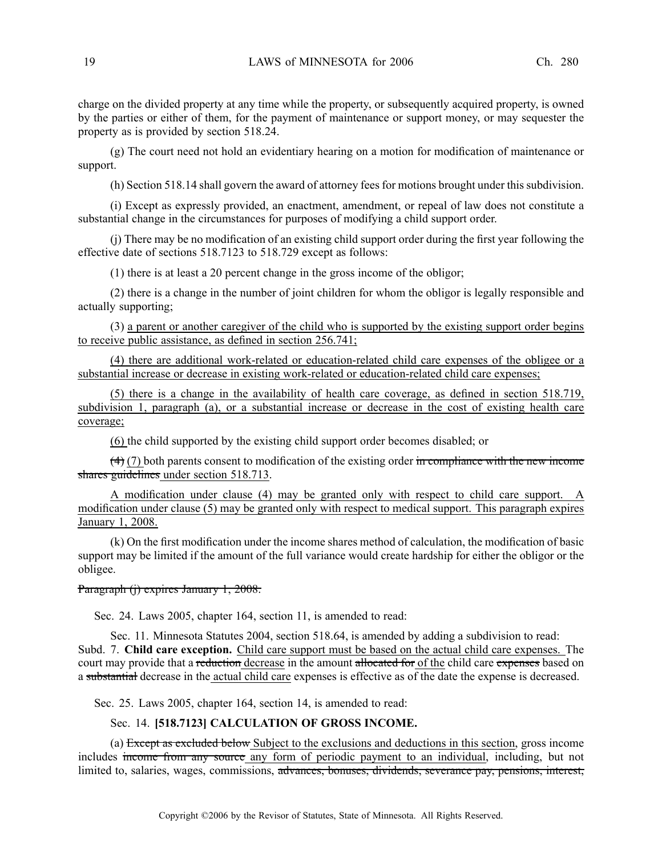charge on the divided property at any time while the property, or subsequently acquired property, is owned by the parties or either of them, for the paymen<sup>t</sup> of maintenance or suppor<sup>t</sup> money, or may sequester the property as is provided by section 518.24.

(g) The court need not hold an evidentiary hearing on <sup>a</sup> motion for modification of maintenance or support.

(h) Section 518.14 shall govern the award of attorney fees for motions brought under this subdivision.

(i) Except as expressly provided, an enactment, amendment, or repeal of law does not constitute <sup>a</sup> substantial change in the circumstances for purposes of modifying <sup>a</sup> child suppor<sup>t</sup> order.

(j) There may be no modification of an existing child suppor<sup>t</sup> order during the first year following the effective date of sections 518.7123 to 518.729 excep<sup>t</sup> as follows:

(1) there is at least <sup>a</sup> 20 percen<sup>t</sup> change in the gross income of the obligor;

(2) there is <sup>a</sup> change in the number of joint children for whom the obligor is legally responsible and actually supporting;

(3) <sup>a</sup> paren<sup>t</sup> or another caregiver of the child who is supported by the existing suppor<sup>t</sup> order begins to receive public assistance, as defined in section 256.741;

(4) there are additional work-related or education-related child care expenses of the obligee or <sup>a</sup> substantial increase or decrease in existing work-related or education-related child care expenses;

(5) there is <sup>a</sup> change in the availability of health care coverage, as defined in section 518.719, subdivision 1, paragraph (a), or <sup>a</sup> substantial increase or decrease in the cost of existing health care coverage;

(6) the child supported by the existing child suppor<sup>t</sup> order becomes disabled; or

 $(4)$  (7) both parents consent to modification of the existing order in compliance with the new income shares guidelines under section 518.713.

A modification under clause (4) may be granted only with respec<sup>t</sup> to child care support. A modification under clause (5) may be granted only with respec<sup>t</sup> to medical support. This paragraph expires January 1, 2008.

(k) On the first modification under the income shares method of calculation, the modification of basic suppor<sup>t</sup> may be limited if the amount of the full variance would create hardship for either the obligor or the obligee.

### Paragraph (j) expires January 1, 2008.

Sec. 24. Laws 2005, chapter 164, section 11, is amended to read:

Sec. 11. Minnesota Statutes 2004, section 518.64, is amended by adding <sup>a</sup> subdivision to read: Subd. 7. **Child care exception.** Child care suppor<sup>t</sup> must be based on the actual child care expenses. The court may provide that a reduction decrease in the amount allocated for of the child care expenses based on <sup>a</sup> substantial decrease in the actual child care expenses is effective as of the date the expense is decreased.

Sec. 25. Laws 2005, chapter 164, section 14, is amended to read:

### Sec. 14. **[518.7123] CALCULATION OF GROSS INCOME.**

(a) Except as excluded below Subject to the exclusions and deductions in this section, gross income includes income from any source any form of periodic paymen<sup>t</sup> to an individual, including, but not limited to, salaries, wages, commissions, advances, bonuses, dividends, severance pay, pensions, interest,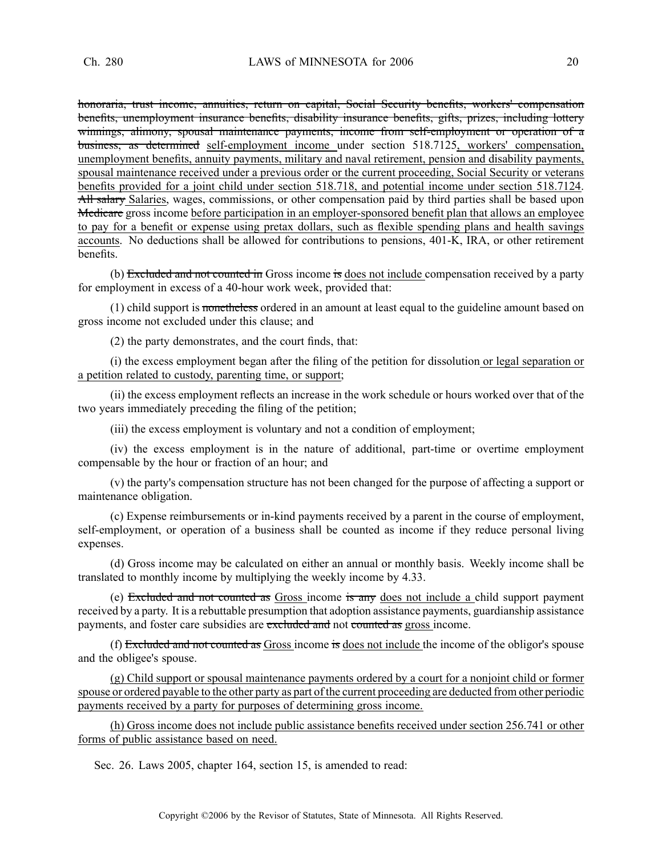honoraria, trust income, annuities, return on capital, Social Security benefits, workers' compensation benefits, unemployment insurance benefits, disability insurance benefits, gifts, prizes, including lottery winnings, alimony, spousal maintenance payments, income from self-employment or operation of a business, as determined self-employment income under section 518.7125, workers' compensation, unemployment benefits, annuity payments, military and naval retirement, pension and disability payments, spousal maintenance received under <sup>a</sup> previous order or the current proceeding, Social Security or veterans benefits provided for <sup>a</sup> joint child under section 518.718, and potential income under section 518.7124.  $\overrightarrow{All}$  salaries, wages, commissions, or other compensation paid by third parties shall be based upon Medicare gross income before participation in an employer-sponsored benefit plan that allows an employee to pay for <sup>a</sup> benefit or expense using pretax dollars, such as flexible spending plans and health savings accounts. No deductions shall be allowed for contributions to pensions, 401-K, IRA, or other retirement benefits.

(b) Excluded and not counted in Gross income is does not include compensation received by a party for employment in excess of <sup>a</sup> 40-hour work week, provided that:

(1) child suppor<sup>t</sup> is nonetheless ordered in an amount at least equal to the guideline amount based on gross income not excluded under this clause; and

(2) the party demonstrates, and the court finds, that:

(i) the excess employment began after the filing of the petition for dissolution or legal separation or <sup>a</sup> petition related to custody, parenting time, or support;

(ii) the excess employment reflects an increase in the work schedule or hours worked over that of the two years immediately preceding the filing of the petition;

(iii) the excess employment is voluntary and not <sup>a</sup> condition of employment;

(iv) the excess employment is in the nature of additional, part-time or overtime employment compensable by the hour or fraction of an hour; and

(v) the party's compensation structure has not been changed for the purpose of affecting <sup>a</sup> suppor<sup>t</sup> or maintenance obligation.

(c) Expense reimbursements or in-kind payments received by <sup>a</sup> paren<sup>t</sup> in the course of employment, self-employment, or operation of <sup>a</sup> business shall be counted as income if they reduce personal living expenses.

(d) Gross income may be calculated on either an annual or monthly basis. Weekly income shall be translated to monthly income by multiplying the weekly income by 4.33.

(e) Excluded and not counted as Gross income is any does not include a child support payment received by <sup>a</sup> party. It is <sup>a</sup> rebuttable presumption that adoption assistance payments, guardianship assistance payments, and foster care subsidies are excluded and not counted as gross income.

(f) Excluded and not counted as Gross income is does not include the income of the obligor's spouse and the obligee's spouse.

(g) Child suppor<sup>t</sup> or spousal maintenance payments ordered by <sup>a</sup> court for <sup>a</sup> nonjoint child or former spouse or ordered payable to the other party as par<sup>t</sup> of the current proceeding are deducted from other periodic payments received by <sup>a</sup> party for purposes of determining gross income.

(h) Gross income does not include public assistance benefits received under section 256.741 or other forms of public assistance based on need.

Sec. 26. Laws 2005, chapter 164, section 15, is amended to read: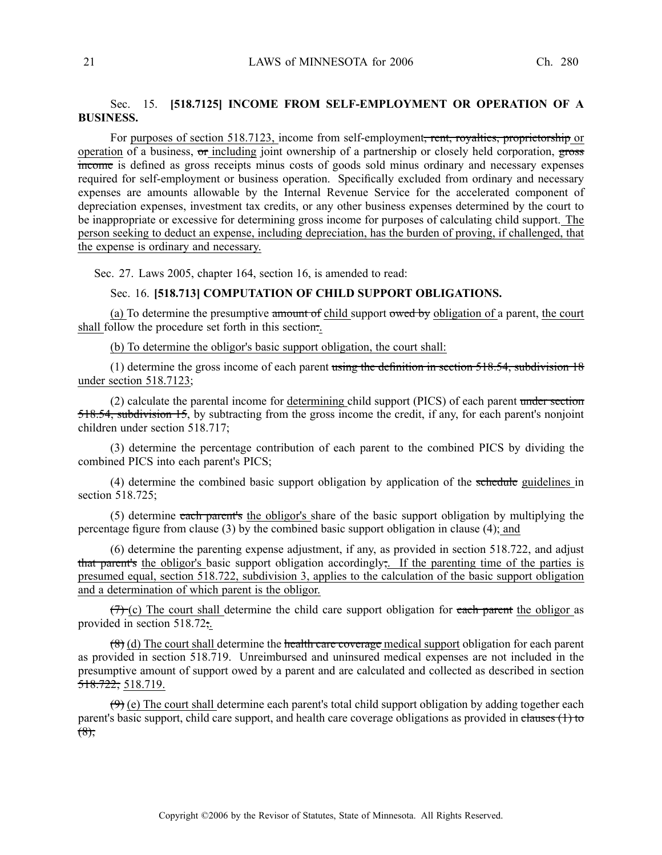# Sec. 15. **[518.7125] INCOME FROM SELF-EMPLOYMENT OR OPERATION OF A BUSINESS.**

For purposes of section 518.7123, income from self-employment<del>, rent, royalties, proprietorship</del> or operation of a business,  $\sigma$  including joint ownership of a partnership or closely held corporation,  $\frac{1}{2}$ income is defined as gross receipts minus costs of goods sold minus ordinary and necessary expenses required for self-employment or business operation. Specifically excluded from ordinary and necessary expenses are amounts allowable by the Internal Revenue Service for the accelerated componen<sup>t</sup> of depreciation expenses, investment tax credits, or any other business expenses determined by the court to be inappropriate or excessive for determining gross income for purposes of calculating child support. The person seeking to deduct an expense, including depreciation, has the burden of proving, if challenged, that the expense is ordinary and necessary.

Sec. 27. Laws 2005, chapter 164, section 16, is amended to read:

#### Sec. 16. **[518.713] COMPUTATION OF CHILD SUPPORT OBLIGATIONS.**

(a) To determine the presumptive amount of child support owed by obligation of a parent, the court shall follow the procedure set forth in this section.

(b) To determine the obligor's basic suppor<sup>t</sup> obligation, the court shall:

(1) determine the gross income of each parent using the definition in section  $518.54$ , subdivision 18 under section 518.7123;

(2) calculate the parental income for determining child support (PICS) of each parent under section 518.54, subdivision 15, by subtracting from the gross income the credit, if any, for each parent's nonjoint children under section 518.717;

(3) determine the percentage contribution of each paren<sup>t</sup> to the combined PICS by dividing the combined PICS into each parent's PICS;

(4) determine the combined basic support obligation by application of the schedule guidelines in section 518.725;

(5) determine each parent's the obligor's share of the basic suppor<sup>t</sup> obligation by multiplying the percentage figure from clause (3) by the combined basic suppor<sup>t</sup> obligation in clause (4); and

(6) determine the parenting expense adjustment, if any, as provided in section 518.722, and adjust that parent's the obligor's basic suppor<sup>t</sup> obligation accordingly;. If the parenting time of the parties is presumed equal, section 518.722, subdivision 3, applies to the calculation of the basic suppor<sup>t</sup> obligation and <sup>a</sup> determination of which paren<sup>t</sup> is the obligor.

 $(7)$  (c) The court shall determine the child care support obligation for each parent the obligor as provided in section 518.72;.

 $(8)$  (d) The court shall determine the health care coverage medical support obligation for each parent as provided in section 518.719. Unreimbursed and uninsured medical expenses are not included in the presumptive amount of suppor<sup>t</sup> owed by <sup>a</sup> paren<sup>t</sup> and are calculated and collected as described in section 518.722; 518.719.

 $(9)$  (e) The court shall determine each parent's total child support obligation by adding together each parent's basic support, child care support, and health care coverage obligations as provided in clauses (1) to  $(8)$ ;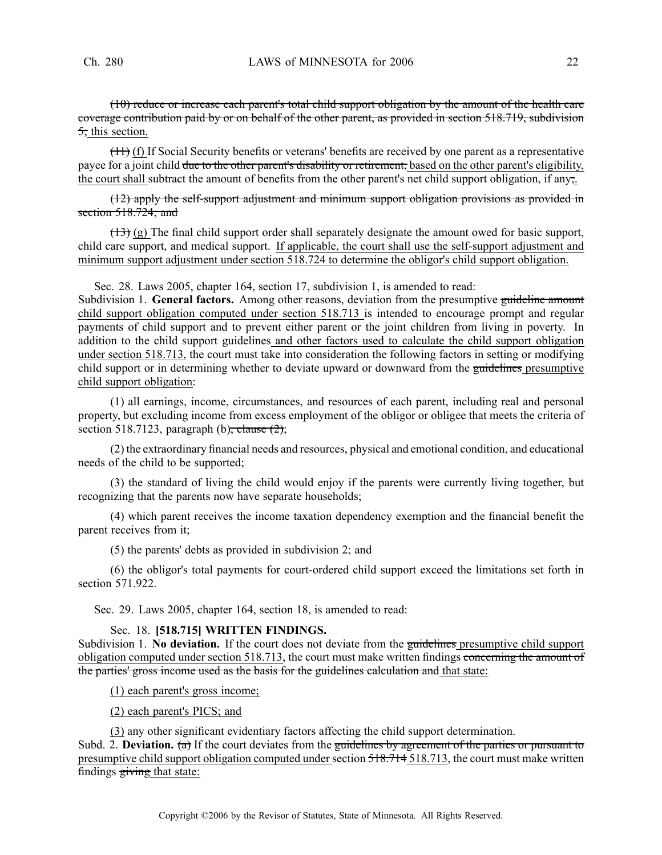(10) reduce or increase each parent's total child suppor<sup>t</sup> obligation by the amount of the health care coverage contribution paid by or on behalf of the other parent, as provided in section 518.719, subdivision  $\overline{5}$ ; this section.

(11) (f) If Social Security benefits or veterans' benefits are received by one paren<sup>t</sup> as <sup>a</sup> representative payee for a joint child due to the other parent's disability or retirement, based on the other parent's eligibility, the court shall subtract the amount of benefits from the other parent's net child suppor<sup>t</sup> obligation, if any;.

(12) apply the self-support adjustment and minimum suppor<sup>t</sup> obligation provisions as provided in section 518.724; and

 $(13)$  (g) The final child support order shall separately designate the amount owed for basic support, child care support, and medical support. If applicable, the court shall use the self-support adjustment and minimum suppor<sup>t</sup> adjustment under section 518.724 to determine the obligor's child suppor<sup>t</sup> obligation.

Sec. 28. Laws 2005, chapter 164, section 17, subdivision 1, is amended to read:

Subdivision 1. **General factors.** Among other reasons, deviation from the presumptive guideline amount child suppor<sup>t</sup> obligation computed under section 518.713 is intended to encourage promp<sup>t</sup> and regular payments of child suppor<sup>t</sup> and to preven<sup>t</sup> either paren<sup>t</sup> or the joint children from living in poverty. In addition to the child suppor<sup>t</sup> guidelines and other factors used to calculate the child suppor<sup>t</sup> obligation under section 518.713, the court must take into consideration the following factors in setting or modifying child support or in determining whether to deviate upward or downward from the guidelines presumptive child suppor<sup>t</sup> obligation:

(1) all earnings, income, circumstances, and resources of each parent, including real and personal property, but excluding income from excess employment of the obligor or obligee that meets the criteria of section 518.7123, paragraph (b), clause  $(2)$ ;

(2) the extraordinary financial needs and resources, physical and emotional condition, and educational needs of the child to be supported;

(3) the standard of living the child would enjoy if the parents were currently living together, but recognizing that the parents now have separate households;

(4) which paren<sup>t</sup> receives the income taxation dependency exemption and the financial benefit the paren<sup>t</sup> receives from it;

(5) the parents' debts as provided in subdivision 2; and

(6) the obligor's total payments for court-ordered child suppor<sup>t</sup> exceed the limitations set forth in section 571.922.

Sec. 29. Laws 2005, chapter 164, section 18, is amended to read:

### Sec. 18. **[518.715] WRITTEN FINDINGS.**

Subdivision 1. **No deviation.** If the court does not deviate from the guidelines presumptive child suppor<sup>t</sup> obligation computed under section 518.713, the court must make written findings concerning the amount of the parties' gross income used as the basis for the guidelines calculation and that state:

(1) each parent's gross income;

(2) each parent's PICS; and

(3) any other significant evidentiary factors affecting the child suppor<sup>t</sup> determination. Subd. 2. **Deviation.** (a) If the court deviates from the guidelines by agreement of the parties or pursuant to presumptive child support obligation computed under section 518.714 518.713, the court must make written findings giving that state: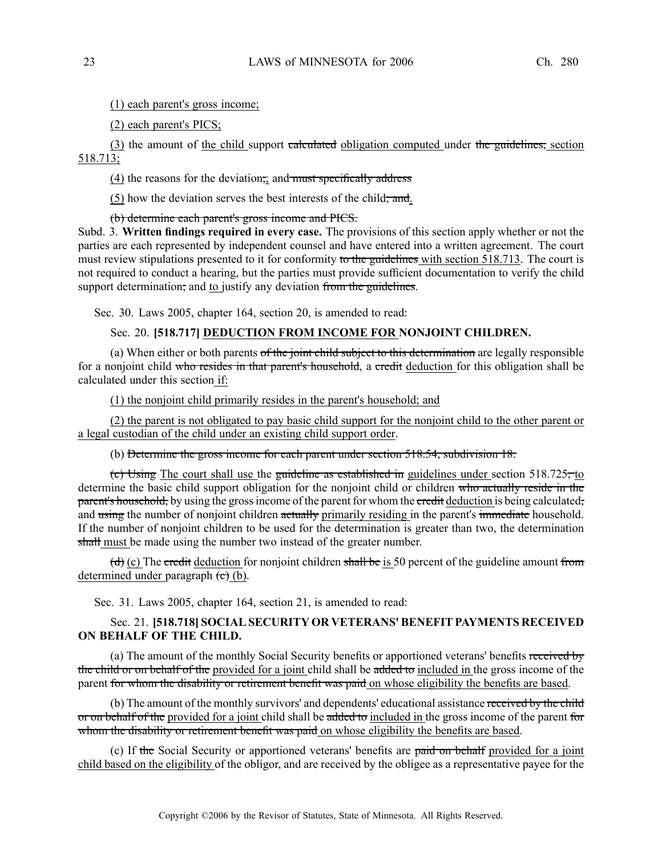(1) each parent's gross income;

(2) each parent's PICS;

(3) the amount of the child support calculated obligation computed under the guidelines, section 518.713;

 $(4)$  the reasons for the deviation, and must specifically address

 $(5)$  how the deviation serves the best interests of the child; and.

### (b) determine each parent's gross income and PICS.

Subd. 3. **Written findings required in every case.** The provisions of this section apply whether or not the parties are each represented by independent counsel and have entered into <sup>a</sup> written agreement. The court must review stipulations presented to it for conformity to the guidelines with section 518.713. The court is not required to conduct <sup>a</sup> hearing, but the parties must provide sufficient documentation to verify the child support determination, and to justify any deviation from the guidelines.

Sec. 30. Laws 2005, chapter 164, section 20, is amended to read:

# Sec. 20. **[518.717] DEDUCTION FROM INCOME FOR NONJOINT CHILDREN.**

(a) When either or both parents of the joint child subject to this determination are legally responsible for a nonjoint child who resides in that parent's household, a credit deduction for this obligation shall be calculated under this section if:

(1) the nonjoint child primarily resides in the parent's household; and

(2) the paren<sup>t</sup> is not obligated to pay basic child suppor<sup>t</sup> for the nonjoint child to the other paren<sup>t</sup> or <sup>a</sup> legal custodian of the child under an existing child suppor<sup>t</sup> order.

(b) Determine the gross income for each paren<sup>t</sup> under section 518.54, subdivision 18.

(c) Using The court shall use the guideline as established in guidelines under section  $518.725$ , to determine the basic child support obligation for the nonjoint child or children who actually reside in the parent's household, by using the grossincome of the paren<sup>t</sup> for whom the credit deduction is being calculated, and using the number of nonjoint children actually primarily residing in the parent's immediate household. If the number of nonjoint children to be used for the determination is greater than two, the determination shall must be made using the number two instead of the greater number.

(d) (c) The credit deduction for nonjoint children shall be is 50 percent of the guideline amount from determined under paragraph  $\left(\mathbf{c}\right)$  (b).

Sec. 31. Laws 2005, chapter 164, section 21, is amended to read:

# Sec. 21. **[518.718] SOCIAL SECURITY OR VETERANS' BENEFIT PAYMENTS RECEIVED ON BEHALF OF THE CHILD.**

(a) The amount of the monthly Social Security benefits or apportioned veterans' benefits received by the child or on behalf of the provided for a joint child shall be added to included in the gross income of the parent for whom the disability or retirement benefit was paid on whose eligibility the benefits are based.

(b) The amount of the monthly survivors' and dependents' educational assistance received by the child or on behalf of the provided for a joint child shall be added to included in the gross income of the parent for whom the disability or retirement benefit was paid on whose eligibility the benefits are based.

(c) If the Social Security or apportioned veterans' benefits are paid on behalf provided for <sup>a</sup> joint child based on the eligibility of the obligor, and are received by the obligee as <sup>a</sup> representative payee for the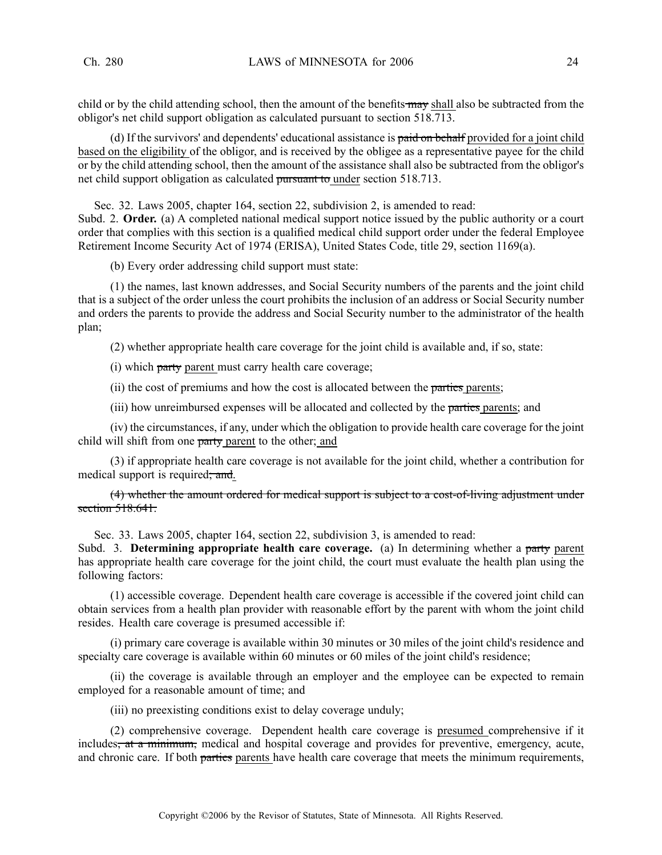child or by the child attending school, then the amount of the benefits may shall also be subtracted from the obligor's net child suppor<sup>t</sup> obligation as calculated pursuan<sup>t</sup> to section 518.713.

(d) If the survivors' and dependents' educational assistance is paid on behalf provided for a joint child based on the eligibility of the obligor, and is received by the obligee as <sup>a</sup> representative payee for the child or by the child attending school, then the amount of the assistance shall also be subtracted from the obligor's net child suppor<sup>t</sup> obligation as calculated pursuan<sup>t</sup> to under section 518.713.

Sec. 32. Laws 2005, chapter 164, section 22, subdivision 2, is amended to read:

Subd. 2. **Order.** (a) A completed national medical suppor<sup>t</sup> notice issued by the public authority or <sup>a</sup> court order that complies with this section is <sup>a</sup> qualified medical child suppor<sup>t</sup> order under the federal Employee Retirement Income Security Act of 1974 (ERISA), United States Code, title 29, section 1169(a).

(b) Every order addressing child suppor<sup>t</sup> must state:

(1) the names, last known addresses, and Social Security numbers of the parents and the joint child that is <sup>a</sup> subject of the order unless the court prohibits the inclusion of an address or Social Security number and orders the parents to provide the address and Social Security number to the administrator of the health plan;

(2) whether appropriate health care coverage for the joint child is available and, if so, state:

(i) which party paren<sup>t</sup> must carry health care coverage;

(ii) the cost of premiums and how the cost is allocated between the parties parents;

(iii) how unreimbursed expenses will be allocated and collected by the parties parents; and

(iv) the circumstances, if any, under which the obligation to provide health care coverage for the joint child will shift from one party paren<sup>t</sup> to the other; and

(3) if appropriate health care coverage is not available for the joint child, whether <sup>a</sup> contribution for medical support is required; and.

(4) whether the amount ordered for medical suppor<sup>t</sup> is subject to <sup>a</sup> cost-of-living adjustment under section 518.641.

Sec. 33. Laws 2005, chapter 164, section 22, subdivision 3, is amended to read:

Subd. 3. **Determining appropriate health care coverage.** (a) In determining whether <sup>a</sup> party paren<sup>t</sup> has appropriate health care coverage for the joint child, the court must evaluate the health plan using the following factors:

(1) accessible coverage. Dependent health care coverage is accessible if the covered joint child can obtain services from <sup>a</sup> health plan provider with reasonable effort by the paren<sup>t</sup> with whom the joint child resides. Health care coverage is presumed accessible if:

(i) primary care coverage is available within 30 minutes or 30 miles of the joint child's residence and specialty care coverage is available within 60 minutes or 60 miles of the joint child's residence;

(ii) the coverage is available through an employer and the employee can be expected to remain employed for <sup>a</sup> reasonable amount of time; and

(iii) no preexisting conditions exist to delay coverage unduly;

(2) comprehensive coverage. Dependent health care coverage is presumed comprehensive if it includes<del>, at a minimum,</del> medical and hospital coverage and provides for preventive, emergency, acute, and chronic care. If both parties parents have health care coverage that meets the minimum requirements,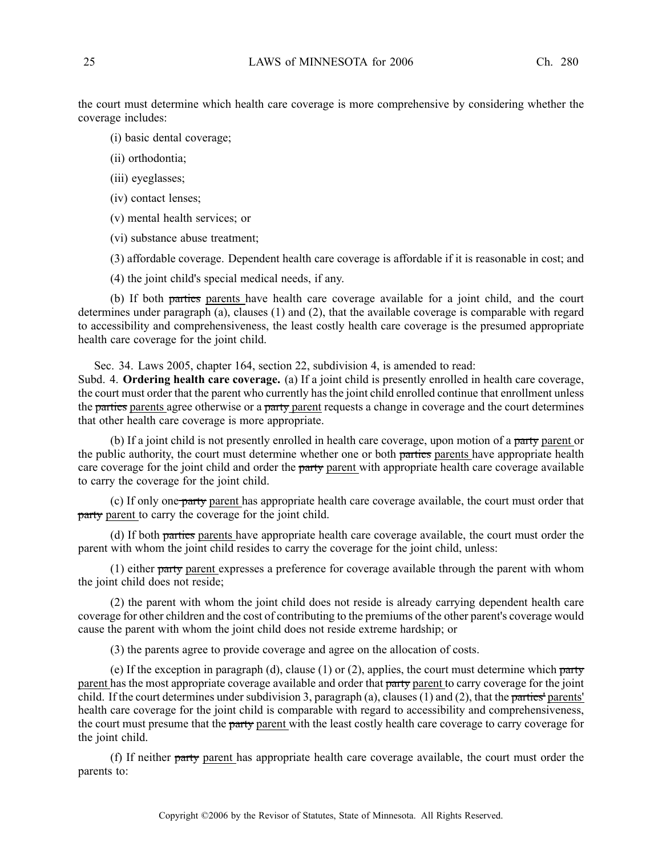the court must determine which health care coverage is more comprehensive by considering whether the coverage includes:

- (i) basic dental coverage;
- (ii) orthodontia;
- (iii) eyeglasses;
- (iv) contact lenses;
- (v) mental health services; or
- (vi) substance abuse treatment;
- (3) affordable coverage. Dependent health care coverage is affordable if it is reasonable in cost; and
- (4) the joint child's special medical needs, if any.

(b) If both parties parents have health care coverage available for <sup>a</sup> joint child, and the court determines under paragraph (a), clauses (1) and (2), that the available coverage is comparable with regard to accessibility and comprehensiveness, the least costly health care coverage is the presumed appropriate health care coverage for the joint child.

Sec. 34. Laws 2005, chapter 164, section 22, subdivision 4, is amended to read:

Subd. 4. **Ordering health care coverage.** (a) If <sup>a</sup> joint child is presently enrolled in health care coverage, the court must order that the paren<sup>t</sup> who currently has the joint child enrolled continue that enrollment unless the parties parents agree otherwise or a party parent requests a change in coverage and the court determines that other health care coverage is more appropriate.

(b) If <sup>a</sup> joint child is not presently enrolled in health care coverage, upon motion of <sup>a</sup> party paren<sup>t</sup> or the public authority, the court must determine whether one or both parties parents have appropriate health care coverage for the joint child and order the party parent with appropriate health care coverage available to carry the coverage for the joint child.

(c) If only one party paren<sup>t</sup> has appropriate health care coverage available, the court must order that party parent to carry the coverage for the joint child.

(d) If both parties parents have appropriate health care coverage available, the court must order the paren<sup>t</sup> with whom the joint child resides to carry the coverage for the joint child, unless:

(1) either party paren<sup>t</sup> expresses <sup>a</sup> preference for coverage available through the paren<sup>t</sup> with whom the joint child does not reside;

(2) the paren<sup>t</sup> with whom the joint child does not reside is already carrying dependent health care coverage for other children and the cost of contributing to the premiums of the other parent's coverage would cause the paren<sup>t</sup> with whom the joint child does not reside extreme hardship; or

(3) the parents agree to provide coverage and agree on the allocation of costs.

(e) If the exception in paragraph (d), clause (1) or (2), applies, the court must determine which party parent has the most appropriate coverage available and order that party parent to carry coverage for the joint child. If the court determines under subdivision 3, paragraph (a), clauses (1) and (2), that the parties' parents' health care coverage for the joint child is comparable with regard to accessibility and comprehensiveness, the court must presume that the party parent with the least costly health care coverage to carry coverage for the joint child.

(f) If neither party parent has appropriate health care coverage available, the court must order the parents to: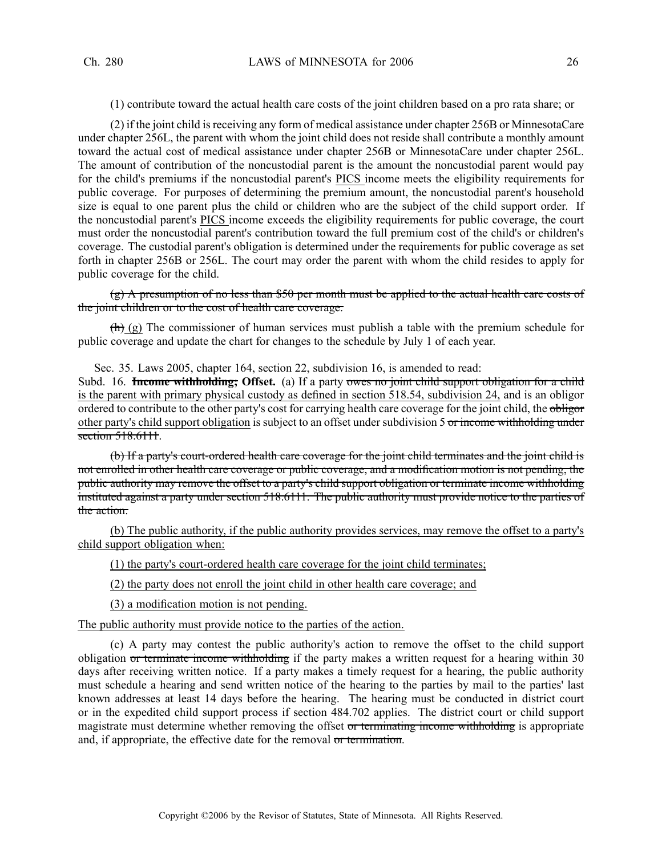(1) contribute toward the actual health care costs of the joint children based on <sup>a</sup> pro rata share; or

(2) if the joint child isreceiving any form of medical assistance under chapter 256B or MinnesotaCare under chapter 256L, the paren<sup>t</sup> with whom the joint child does not reside shall contribute <sup>a</sup> monthly amount toward the actual cost of medical assistance under chapter 256B or MinnesotaCare under chapter 256L. The amount of contribution of the noncustodial paren<sup>t</sup> is the amount the noncustodial paren<sup>t</sup> would pay for the child's premiums if the noncustodial parent's PICS income meets the eligibility requirements for public coverage. For purposes of determining the premium amount, the noncustodial parent's household size is equal to one paren<sup>t</sup> plus the child or children who are the subject of the child suppor<sup>t</sup> order. If the noncustodial parent's PICS income exceeds the eligibility requirements for public coverage, the court must order the noncustodial parent's contribution toward the full premium cost of the child's or children's coverage. The custodial parent's obligation is determined under the requirements for public coverage as set forth in chapter 256B or 256L. The court may order the paren<sup>t</sup> with whom the child resides to apply for public coverage for the child.

 $(g)$  A presumption of no less than \$50 per month must be applied to the actual health care costs of the joint children or to the cost of health care coverage.

 $\left(\frac{\hbar}{\hbar}\right)$  (g) The commissioner of human services must publish a table with the premium schedule for public coverage and update the chart for changes to the schedule by July 1 of each year.

Sec. 35. Laws 2005, chapter 164, section 22, subdivision 16, is amended to read:

Subd. 16. **Income withholding; Offset.** (a) If <sup>a</sup> party owes no joint child suppor<sup>t</sup> obligation for <sup>a</sup> child is the paren<sup>t</sup> with primary physical custody as defined in section 518.54, subdivision 24, and is an obligor ordered to contribute to the other party's cost for carrying health care coverage for the joint child, the obligor other party's child suppor<sup>t</sup> obligation is subject to an offset under subdivision 5 or income withholding under section 518.6111.

(b) If <sup>a</sup> party's court-ordered health care coverage for the joint child terminates and the joint child is not enrolled in other health care coverage or public coverage, and <sup>a</sup> modification motion is not pending, the public authority may remove the offset to <sup>a</sup> party's child suppor<sup>t</sup> obligation or terminate income withholding instituted against <sup>a</sup> party under section 518.6111. The public authority must provide notice to the parties of the action.

(b) The public authority, if the public authority provides services, may remove the offset to <sup>a</sup> party's child suppor<sup>t</sup> obligation when:

(1) the party's court-ordered health care coverage for the joint child terminates;

(2) the party does not enroll the joint child in other health care coverage; and

(3) <sup>a</sup> modification motion is not pending.

The public authority must provide notice to the parties of the action.

(c) A party may contest the public authority's action to remove the offset to the child suppor<sup>t</sup> obligation or terminate income withholding if the party makes <sup>a</sup> written reques<sup>t</sup> for <sup>a</sup> hearing within 30 days after receiving written notice. If a party makes a timely request for a hearing, the public authority must schedule <sup>a</sup> hearing and send written notice of the hearing to the parties by mail to the parties' last known addresses at least 14 days before the hearing. The hearing must be conducted in district court or in the expedited child suppor<sup>t</sup> process if section 484.702 applies. The district court or child suppor<sup>t</sup> magistrate must determine whether removing the offset or terminating income withholding is appropriate and, if appropriate, the effective date for the removal or termination.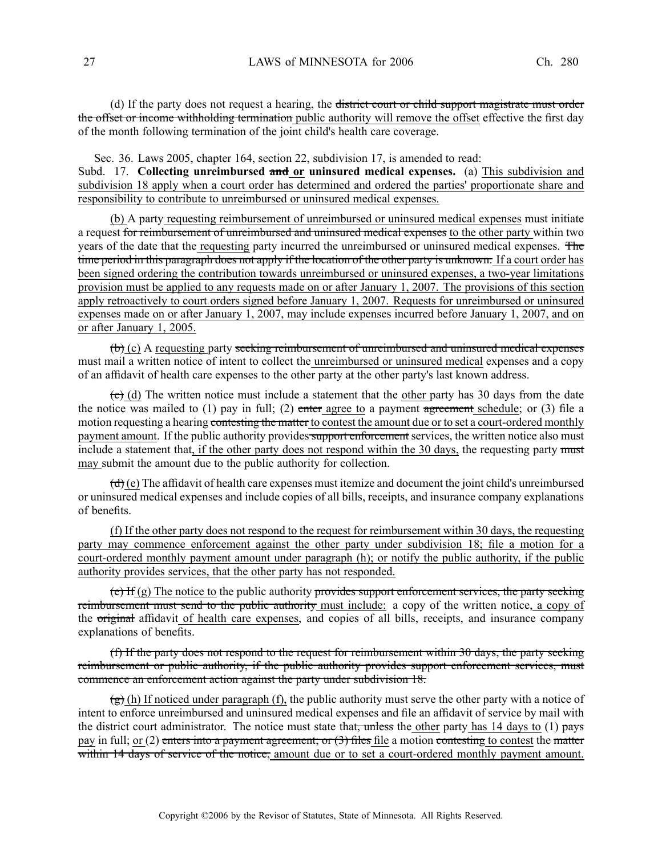(d) If the party does not reques<sup>t</sup> <sup>a</sup> hearing, the district court or child suppor<sup>t</sup> magistrate must order the offset or income withholding termination public authority will remove the offset effective the first day of the month following termination of the joint child's health care coverage.

Sec. 36. Laws 2005, chapter 164, section 22, subdivision 17, is amended to read: Subd. 17. **Collecting unreimbursed and or uninsured medical expenses.** (a) This subdivision and subdivision 18 apply when <sup>a</sup> court order has determined and ordered the parties' proportionate share and responsibility to contribute to unreimbursed or uninsured medical expenses.

(b) A party requesting reimbursement of unreimbursed or uninsured medical expenses must initiate <sup>a</sup> reques<sup>t</sup> for reimbursement of unreimbursed and uninsured medical expenses to the other party within two years of the date that the requesting party incurred the unreimbursed or uninsured medical expenses. The time period in this paragraph does not apply if the location of the other party is unknown. If <sup>a</sup> court order has been signed ordering the contribution towards unreimbursed or uninsured expenses, <sup>a</sup> two-year limitations provision must be applied to any requests made on or after January 1, 2007. The provisions of this section apply retroactively to court orders signed before January 1, 2007. Requests for unreimbursed or uninsured expenses made on or after January 1, 2007, may include expenses incurred before January 1, 2007, and on or after January 1, 2005.

 $(b)$  (c) A requesting party seeking reimbursement of unreimbursed and uninsured medical expenses must mail <sup>a</sup> written notice of intent to collect the unreimbursed or uninsured medical expenses and <sup>a</sup> copy of an affidavit of health care expenses to the other party at the other party's last known address.

 $\overline{(c)}$  (d) The written notice must include a statement that the other party has 30 days from the date the notice was mailed to  $(1)$  pay in full;  $(2)$  enter agree to a payment agreement schedule; or  $(3)$  file a motion requesting a hearing contesting the matter to contest the amount due or to set a court-ordered monthly payment amount. If the public authority provides support enforcement services, the written notice also must include a statement that, if the other party does not respond within the 30 days, the requesting party must may submit the amount due to the public authority for collection.

 $(\mathbf{d})$  (e) The affidavit of health care expenses must itemize and document the joint child's unreimbursed or uninsured medical expenses and include copies of all bills, receipts, and insurance company explanations of benefits.

(f) If the other party does not respond to the reques<sup>t</sup> for reimbursement within 30 days, the requesting party may commence enforcement against the other party under subdivision 18; file <sup>a</sup> motion for <sup>a</sup> court-ordered monthly paymen<sup>t</sup> amount under paragraph (h); or notify the public authority, if the public authority provides services, that the other party has not responded.

 $(e)$  If  $(g)$  The notice to the public authority provides support enforcement services, the party seeking reimbursement must send to the public authority must include: <sup>a</sup> copy of the written notice, <sup>a</sup> copy of the original affidavit of health care expenses, and copies of all bills, receipts, and insurance company explanations of benefits.

(f) If the party does not respond to the request for reimbursement within 30 days, the party seeking reimbursement or public authority, if the public authority provides support enforcement services, must commence an enforcement action against the party under subdivision 18.

 $\left(\frac{g}{g}\right)$  (h) If noticed under paragraph (f), the public authority must serve the other party with a notice of intent to enforce unreimbursed and uninsured medical expenses and file an affidavit of service by mail with the district court administrator. The notice must state that, unless the other party has 14 days to (1) pays pay in full; or (2) enters into a payment agreement; or  $(3)$  files file a motion contesting to contest the matter within 14 days of service of the notice, amount due or to set a court-ordered monthly payment amount.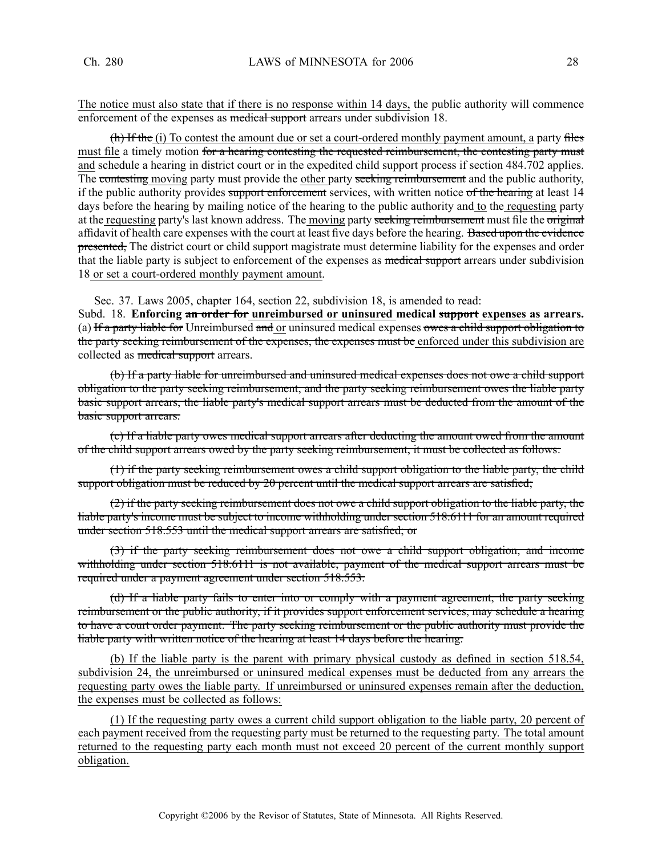The notice must also state that if there is no response within 14 days, the public authority will commence enforcement of the expenses as medical support arrears under subdivision 18.

(h) If the (i) To contest the amount due or set a court-ordered monthly payment amount, a party files must file a timely motion for a hearing contesting the requested reimbursement, the contesting party must and schedule <sup>a</sup> hearing in district court or in the expedited child suppor<sup>t</sup> process if section 484.702 applies. The contesting moving party must provide the other party seeking reimbursement and the public authority, if the public authority provides support enforcement services, with written notice of the hearing at least 14 days before the hearing by mailing notice of the hearing to the public authority and to the requesting party at the requesting party's last known address. The moving party seeking reimbursement must file the original affidavit of health care expenses with the court at least five days before the hearing. Based upon the evidence presented, The district court or child support magistrate must determine liability for the expenses and order that the liable party is subject to enforcement of the expenses as medical support arrears under subdivision 18 or set <sup>a</sup> court-ordered monthly paymen<sup>t</sup> amount.

Sec. 37. Laws 2005, chapter 164, section 22, subdivision 18, is amended to read:

Subd. 18. **Enforcing an order for unreimbursed or uninsured medical suppor<sup>t</sup> expenses as arrears.** (a) If a party liable for Unreimbursed and or uninsured medical expenses owes a child support obligation to the party seeking reimbursement of the expenses, the expenses must be enforced under this subdivision are collected as medical support arrears.

(b) If <sup>a</sup> party liable for unreimbursed and uninsured medical expenses does not owe <sup>a</sup> child suppor<sup>t</sup> obligation to the party seeking reimbursement, and the party seeking reimbursement owes the liable party basic suppor<sup>t</sup> arrears, the liable party's medical suppor<sup>t</sup> arrears must be deducted from the amount of the basic suppor<sup>t</sup> arrears.

(c) If <sup>a</sup> liable party owes medical suppor<sup>t</sup> arrears after deducting the amount owed from the amount of the child suppor<sup>t</sup> arrears owed by the party seeking reimbursement, it must be collected as follows:

(1) if the party seeking reimbursement owes <sup>a</sup> child suppor<sup>t</sup> obligation to the liable party, the child support obligation must be reduced by 20 percent until the medical support arrears are satisfied;

 $(2)$  if the party seeking reimbursement does not owe a child support obligation to the liable party, the liable party's income must be subject to income withholding under section 518.6111 for an amount required under section 518.553 until the medical suppor<sup>t</sup> arrears are satisfied; or

(3) if the party seeking reimbursement does not owe <sup>a</sup> child suppor<sup>t</sup> obligation, and income withholding under section 518.6111 is not available, payment of the medical support arrears must be required under <sup>a</sup> paymen<sup>t</sup> agreemen<sup>t</sup> under section 518.553.

(d) If <sup>a</sup> liable party fails to enter into or comply with <sup>a</sup> paymen<sup>t</sup> agreement, the party seeking reimbursement or the public authority, if it provides suppor<sup>t</sup> enforcement services, may schedule <sup>a</sup> hearing to have <sup>a</sup> court order payment. The party seeking reimbursement or the public authority must provide the liable party with written notice of the hearing at least 14 days before the hearing.

(b) If the liable party is the paren<sup>t</sup> with primary physical custody as defined in section 518.54, subdivision 24, the unreimbursed or uninsured medical expenses must be deducted from any arrears the requesting party owes the liable party. If unreimbursed or uninsured expenses remain after the deduction, the expenses must be collected as follows:

(1) If the requesting party owes <sup>a</sup> current child suppor<sup>t</sup> obligation to the liable party, 20 percen<sup>t</sup> of each paymen<sup>t</sup> received from the requesting party must be returned to the requesting party. The total amount returned to the requesting party each month must not exceed 20 percen<sup>t</sup> of the current monthly suppor<sup>t</sup> obligation.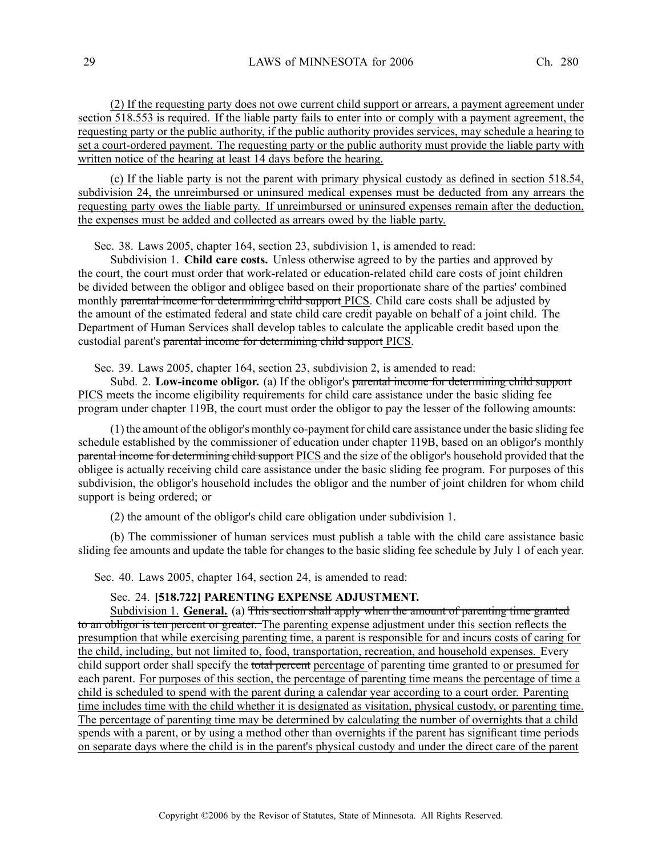(2) If the requesting party does not owe current child suppor<sup>t</sup> or arrears, <sup>a</sup> paymen<sup>t</sup> agreemen<sup>t</sup> under section 518.553 is required. If the liable party fails to enter into or comply with <sup>a</sup> paymen<sup>t</sup> agreement, the requesting party or the public authority, if the public authority provides services, may schedule <sup>a</sup> hearing to set <sup>a</sup> court-ordered payment. The requesting party or the public authority must provide the liable party with written notice of the hearing at least 14 days before the hearing.

(c) If the liable party is not the paren<sup>t</sup> with primary physical custody as defined in section 518.54, subdivision 24, the unreimbursed or uninsured medical expenses must be deducted from any arrears the requesting party owes the liable party. If unreimbursed or uninsured expenses remain after the deduction, the expenses must be added and collected as arrears owed by the liable party.

Sec. 38. Laws 2005, chapter 164, section 23, subdivision 1, is amended to read:

Subdivision 1. **Child care costs.** Unless otherwise agreed to by the parties and approved by the court, the court must order that work-related or education-related child care costs of joint children be divided between the obligor and obligee based on their proportionate share of the parties' combined monthly parental income for determining child support PICS. Child care costs shall be adjusted by the amount of the estimated federal and state child care credit payable on behalf of <sup>a</sup> joint child. The Department of Human Services shall develop tables to calculate the applicable credit based upon the custodial parent's parental income for determining child suppor<sup>t</sup> PICS.

Sec. 39. Laws 2005, chapter 164, section 23, subdivision 2, is amended to read:

Subd. 2. **Low-income obligor.** (a) If the obligor's parental income for determining child suppor<sup>t</sup> PICS meets the income eligibility requirements for child care assistance under the basic sliding fee program under chapter 119B, the court must order the obligor to pay the lesser of the following amounts:

(1) the amount of the obligor's monthly co-paymen<sup>t</sup> for child care assistance under the basic sliding fee schedule established by the commissioner of education under chapter 119B, based on an obligor's monthly parental income for determining child suppor<sup>t</sup> PICS and the size of the obligor's household provided that the obligee is actually receiving child care assistance under the basic sliding fee program. For purposes of this subdivision, the obligor's household includes the obligor and the number of joint children for whom child suppor<sup>t</sup> is being ordered; or

(2) the amount of the obligor's child care obligation under subdivision 1.

(b) The commissioner of human services must publish <sup>a</sup> table with the child care assistance basic sliding fee amounts and update the table for changes to the basic sliding fee schedule by July 1 of each year.

Sec. 40. Laws 2005, chapter 164, section 24, is amended to read:

Sec. 24. **[518.722] PARENTING EXPENSE ADJUSTMENT.**

Subdivision 1. **General.** (a) This section shall apply when the amount of parenting time granted to an obligor is ten percen<sup>t</sup> or greater. The parenting expense adjustment under this section reflects the presumption that while exercising parenting time, <sup>a</sup> paren<sup>t</sup> is responsible for and incurs costs of caring for the child, including, but not limited to, food, transportation, recreation, and household expenses. Every child support order shall specify the total percent percentage of parenting time granted to or presumed for each parent. For purposes of this section, the percentage of parenting time means the percentage of time <sup>a</sup> child is scheduled to spend with the paren<sup>t</sup> during <sup>a</sup> calendar year according to <sup>a</sup> court order. Parenting time includes time with the child whether it is designated as visitation, physical custody, or parenting time. The percentage of parenting time may be determined by calculating the number of overnights that <sup>a</sup> child spends with <sup>a</sup> parent, or by using <sup>a</sup> method other than overnights if the paren<sup>t</sup> has significant time periods on separate days where the child is in the parent's physical custody and under the direct care of the paren<sup>t</sup>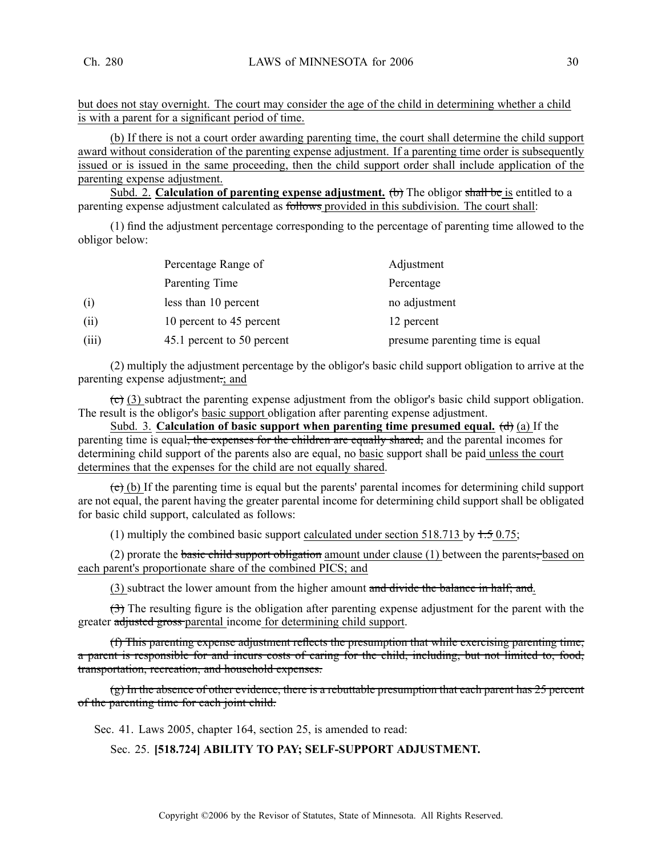but does not stay overnight. The court may consider the age of the child in determining whether <sup>a</sup> child is with <sup>a</sup> paren<sup>t</sup> for <sup>a</sup> significant period of time.

(b) If there is not <sup>a</sup> court order awarding parenting time, the court shall determine the child suppor<sup>t</sup> award without consideration of the parenting expense adjustment. If <sup>a</sup> parenting time order is subsequently issued or is issued in the same proceeding, then the child suppor<sup>t</sup> order shall include application of the parenting expense adjustment.

Subd. 2. **Calculation of parenting expense adjustment.** (b) The obligor shall be is entitled to <sup>a</sup> parenting expense adjustment calculated as follows provided in this subdivision. The court shall:

(1) find the adjustment percentage corresponding to the percentage of parenting time allowed to the obligor below:

|       | Percentage Range of        | Adjustment                      |
|-------|----------------------------|---------------------------------|
|       | Parenting Time             | Percentage                      |
| (i)   | less than 10 percent       | no adjustment                   |
| (i)   | 10 percent to 45 percent   | 12 percent                      |
| (iii) | 45.1 percent to 50 percent | presume parenting time is equal |

(2) multiply the adjustment percentage by the obligor's basic child suppor<sup>t</sup> obligation to arrive at the parenting expense adjustment.; and

 $\overline{c}$  (3) subtract the parenting expense adjustment from the obligor's basic child support obligation. The result is the obligor's basic suppor<sup>t</sup> obligation after parenting expense adjustment.

Subd. 3. **Calculation of basic suppor<sup>t</sup> when parenting time presumed equal.** (d) (a) If the parenting time is equal<del>, the expenses for the children are equally shared,</del> and the parental incomes for determining child suppor<sup>t</sup> of the parents also are equal, no basic suppor<sup>t</sup> shall be paid unless the court determines that the expenses for the child are not equally shared.

 $(e)$  (b) If the parenting time is equal but the parents' parental incomes for determining child support are not equal, the paren<sup>t</sup> having the greater parental income for determining child suppor<sup>t</sup> shall be obligated for basic child support, calculated as follows:

(1) multiply the combined basic support calculated under section 518.713 by  $\pm$  5 0.75;

(2) prorate the basic child support obligation amount under clause  $(1)$  between the parents, based on each parent's proportionate share of the combined PICS; and

(3) subtract the lower amount from the higher amount and divide the balance in half; and.

(3) The resulting figure is the obligation after parenting expense adjustment for the paren<sup>t</sup> with the greater adjusted gross parental income for determining child support.

(f) This parenting expense adjustment reflects the presumption that while exercising parenting time, <sup>a</sup> paren<sup>t</sup> is responsible for and incurs costs of caring for the child, including, but not limited to, food, transportation, recreation, and household expenses.

(g) In the absence of other evidence, there is <sup>a</sup> rebuttable presumption that each paren<sup>t</sup> has 25 percen<sup>t</sup> of the parenting time for each joint child.

Sec. 41. Laws 2005, chapter 164, section 25, is amended to read:

Sec. 25. **[518.724] ABILITY TO PAY; SELF-SUPPORT ADJUSTMENT.**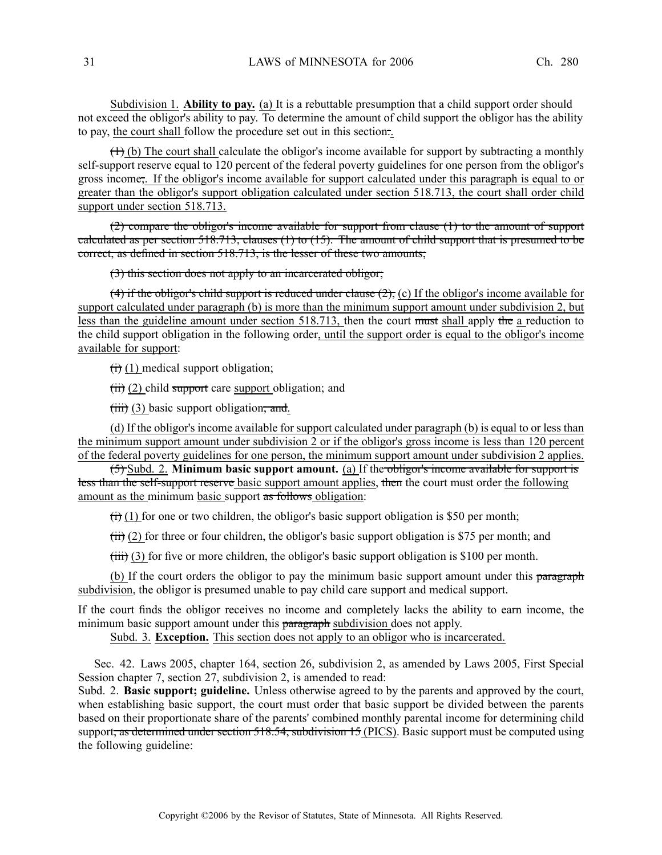Subdivision 1. **Ability to pay.** (a) It is <sup>a</sup> rebuttable presumption that <sup>a</sup> child suppor<sup>t</sup> order should not exceed the obligor's ability to pay. To determine the amount of child suppor<sup>t</sup> the obligor has the ability to pay, the court shall follow the procedure set out in this section:.

 $(1)$  (b) The court shall calculate the obligor's income available for support by subtracting a monthly self-support reserve equal to 120 percen<sup>t</sup> of the federal poverty guidelines for one person from the obligor's gross income;. If the obligor's income available for suppor<sup>t</sup> calculated under this paragraph is equal to or greater than the obligor's suppor<sup>t</sup> obligation calculated under section 518.713, the court shall order child suppor<sup>t</sup> under section 518.713.

(2) compare the obligor's income available for suppor<sup>t</sup> from clause (1) to the amount of suppor<sup>t</sup> calculated as per section 518.713, clauses (1) to (15). The amount of child suppor<sup>t</sup> that is presumed to be correct, as defined in section 518.713, is the lesser of these two amounts;

### (3) this section does not apply to an incarcerated obligor;

(4) if the obligor's child support is reduced under clause  $(2)$ , (c) If the obligor's income available for suppor<sup>t</sup> calculated under paragraph (b) is more than the minimum suppor<sup>t</sup> amount under subdivision 2, but less than the guideline amount under section 518.713, then the court must shall apply the <sup>a</sup> reduction to the child suppor<sup>t</sup> obligation in the following order, until the suppor<sup>t</sup> order is equal to the obligor's income available for support:

 $(ii)$  (1) medical support obligation;

 $(ii)$  (2) child support care support obligation; and

 $(iii)$   $(3)$  basic support obligation; and.

(d) If the obligor's income available for suppor<sup>t</sup> calculated under paragraph (b) is equal to or less than the minimum suppor<sup>t</sup> amount under subdivision 2 or if the obligor's gross income is less than 120 percen<sup>t</sup> of the federal poverty guidelines for one person, the minimum suppor<sup>t</sup> amount under subdivision 2 applies.

(5) Subd. 2. **Minimum basic suppor<sup>t</sup> amount.** (a) If the obligor's income available for suppor<sup>t</sup> is less than the self-support reserve basic support amount applies, then the court must order the following amount as the minimum basic support as follows obligation:

 $(t)$  (1) for one or two children, the obligor's basic support obligation is \$50 per month;

 $\overrightarrow{iii}$  (2) for three or four children, the obligor's basic support obligation is \$75 per month; and

 $(iii)$  (3) for five or more children, the obligor's basic support obligation is \$100 per month.

(b) If the court orders the obligor to pay the minimum basic support amount under this paragraph subdivision, the obligor is presumed unable to pay child care suppor<sup>t</sup> and medical support.

If the court finds the obligor receives no income and completely lacks the ability to earn income, the minimum basic support amount under this paragraph subdivision does not apply.

Subd. 3. **Exception.** This section does not apply to an obligor who is incarcerated.

Sec. 42. Laws 2005, chapter 164, section 26, subdivision 2, as amended by Laws 2005, First Special Session chapter 7, section 27, subdivision 2, is amended to read:

Subd. 2. **Basic support; guideline.** Unless otherwise agreed to by the parents and approved by the court, when establishing basic support, the court must order that basic suppor<sup>t</sup> be divided between the parents based on their proportionate share of the parents' combined monthly parental income for determining child support, as determined under section 518.54, subdivision 15 (PICS). Basic support must be computed using the following guideline: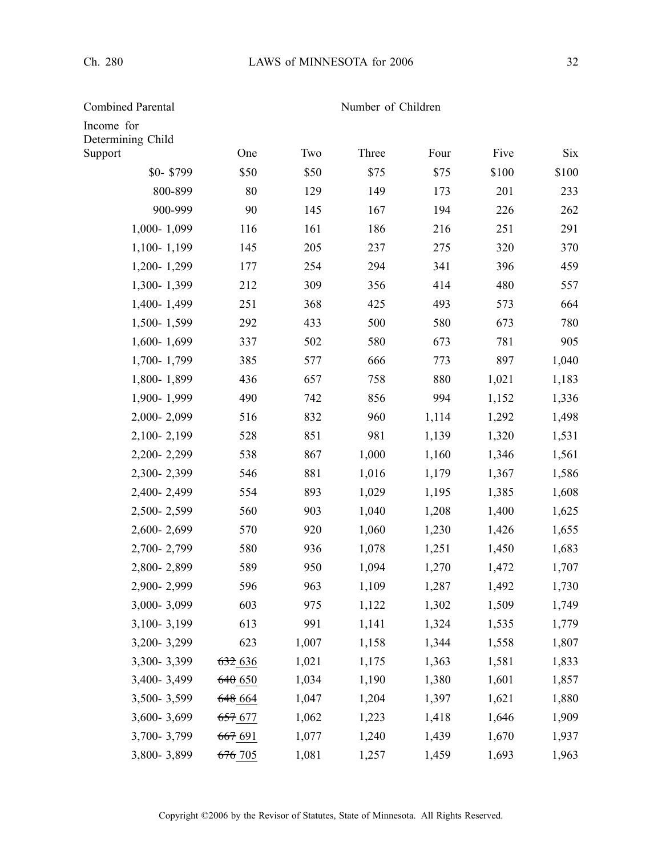Income for

Combined Parental Number of Children

| Determining Child<br>Support | One     | Two   | Three | Four  | Five  | <b>Six</b> |
|------------------------------|---------|-------|-------|-------|-------|------------|
| \$0-\$799                    | \$50    | \$50  | \$75  | \$75  | \$100 | \$100      |
| 800-899                      | 80      | 129   | 149   | 173   | 201   | 233        |
| 900-999                      | 90      | 145   | 167   | 194   | 226   | 262        |
| 1,000-1,099                  | 116     | 161   | 186   | 216   | 251   | 291        |
| 1,100-1,199                  | 145     | 205   | 237   | 275   | 320   | 370        |
| 1,200-1,299                  | 177     | 254   | 294   | 341   | 396   | 459        |
| 1,300-1,399                  | 212     | 309   | 356   | 414   | 480   | 557        |
| 1,400-1,499                  | 251     | 368   | 425   | 493   | 573   | 664        |
| 1,500-1,599                  | 292     | 433   | 500   | 580   | 673   | 780        |
| 1,600-1,699                  | 337     | 502   | 580   | 673   | 781   | 905        |
| 1,700-1,799                  | 385     | 577   | 666   | 773   | 897   | 1,040      |
| 1,800-1,899                  | 436     | 657   | 758   | 880   | 1,021 | 1,183      |
| 1,900-1,999                  | 490     | 742   | 856   | 994   | 1,152 | 1,336      |
| 2,000-2,099                  | 516     | 832   | 960   | 1,114 | 1,292 | 1,498      |
| 2,100-2,199                  | 528     | 851   | 981   | 1,139 | 1,320 | 1,531      |
| 2,200-2,299                  | 538     | 867   | 1,000 | 1,160 | 1,346 | 1,561      |
| 2,300-2,399                  | 546     | 881   | 1,016 | 1,179 | 1,367 | 1,586      |
| 2,400-2,499                  | 554     | 893   | 1,029 | 1,195 | 1,385 | 1,608      |
| 2,500-2,599                  | 560     | 903   | 1,040 | 1,208 | 1,400 | 1,625      |
| 2,600-2,699                  | 570     | 920   | 1,060 | 1,230 | 1,426 | 1,655      |
| 2,700-2,799                  | 580     | 936   | 1,078 | 1,251 | 1,450 | 1,683      |
| 2,800-2,899                  | 589     | 950   | 1,094 | 1,270 | 1,472 | 1,707      |
| 2,900-2,999                  | 596     | 963   | 1,109 | 1,287 | 1,492 | 1,730      |
| 3,000-3,099                  | 603     | 975   | 1,122 | 1,302 | 1,509 | 1,749      |
| 3,100-3,199                  | 613     | 991   | 1,141 | 1,324 | 1,535 | 1,779      |
| 3,200-3,299                  | 623     | 1,007 | 1,158 | 1,344 | 1,558 | 1,807      |
| 3,300-3,399                  | 6326    | 1,021 | 1,175 | 1,363 | 1,581 | 1,833      |
| 3,400-3,499                  | 640650  | 1,034 | 1,190 | 1,380 | 1,601 | 1,857      |
| 3,500-3,599                  | 648_664 | 1,047 | 1,204 | 1,397 | 1,621 | 1,880      |
| 3,600-3,699                  | 657 677 | 1,062 | 1,223 | 1,418 | 1,646 | 1,909      |
| 3,700-3,799                  | 667 691 | 1,077 | 1,240 | 1,439 | 1,670 | 1,937      |
| 3,800-3,899                  | 676 705 | 1,081 | 1,257 | 1,459 | 1,693 | 1,963      |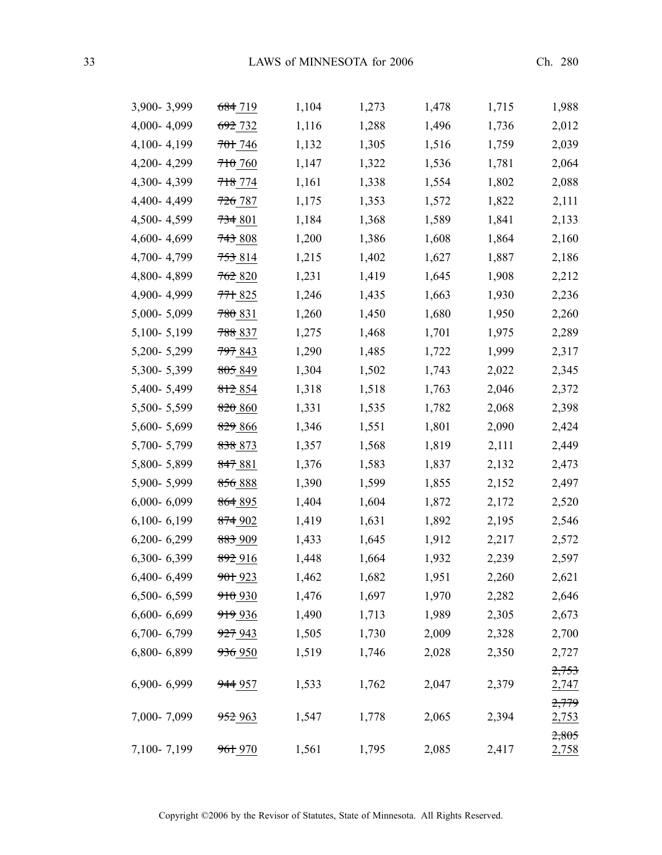| 3,900-3,999     | 684 719            | 1,104 | 1,273 | 1,478 | 1,715 | 1,988                 |
|-----------------|--------------------|-------|-------|-------|-------|-----------------------|
| 4,000-4,099     | <del>692</del> 732 | 1,116 | 1,288 | 1,496 | 1,736 | 2,012                 |
| 4,100-4,199     | 701 746            | 1,132 | 1,305 | 1,516 | 1,759 | 2,039                 |
| 4,200-4,299     | 710,760            | 1,147 | 1,322 | 1,536 | 1,781 | 2,064                 |
| 4,300-4,399     | <del>718</del> 774 | 1,161 | 1,338 | 1,554 | 1,802 | 2,088                 |
| 4,400-4,499     | <del>726</del> 787 | 1,175 | 1,353 | 1,572 | 1,822 | 2,111                 |
| 4,500-4,599     | 734801             | 1,184 | 1,368 | 1,589 | 1,841 | 2,133                 |
| 4,600-4,699     | 743808             | 1,200 | 1,386 | 1,608 | 1,864 | 2,160                 |
| 4,700-4,799     | 753 814            | 1,215 | 1,402 | 1,627 | 1,887 | 2,186                 |
| 4,800-4,899     | 762820             | 1,231 | 1,419 | 1,645 | 1,908 | 2,212                 |
| 4,900-4,999     | 771825             | 1,246 | 1,435 | 1,663 | 1,930 | 2,236                 |
| 5,000-5,099     | 780831             | 1,260 | 1,450 | 1,680 | 1,950 | 2,260                 |
| 5,100-5,199     | <del>788</del> 837 | 1,275 | 1,468 | 1,701 | 1,975 | 2,289                 |
| 5,200-5,299     | 797 843            | 1,290 | 1,485 | 1,722 | 1,999 | 2,317                 |
| 5,300-5,399     | 805 849            | 1,304 | 1,502 | 1,743 | 2,022 | 2,345                 |
| 5,400-5,499     | 812 854            | 1,318 | 1,518 | 1,763 | 2,046 | 2,372                 |
| 5,500-5,599     | 820 860            | 1,331 | 1,535 | 1,782 | 2,068 | 2,398                 |
| 5,600-5,699     | 829 866            | 1,346 | 1,551 | 1,801 | 2,090 | 2,424                 |
| 5,700-5,799     | 838 873            | 1,357 | 1,568 | 1,819 | 2,111 | 2,449                 |
| 5,800-5,899     | <del>847</del> 881 | 1,376 | 1,583 | 1,837 | 2,132 | 2,473                 |
| 5,900-5,999     | 856 888            | 1,390 | 1,599 | 1,855 | 2,152 | 2,497                 |
| $6,000 - 6,099$ | 864 895            | 1,404 | 1,604 | 1,872 | 2,172 | 2,520                 |
| $6,100 - 6,199$ | 874902             | 1,419 | 1,631 | 1,892 | 2,195 | 2,546                 |
| $6,200 - 6,299$ | 883 909            | 1,433 | 1,645 | 1,912 | 2,217 | 2,572                 |
| 6,300-6,399     | <del>892</del> 916 | 1,448 | 1,664 | 1,932 | 2,239 | 2,597                 |
| $6,400 - 6,499$ | <del>901</del> 923 | 1,462 | 1,682 | 1,951 | 2,260 | 2,621                 |
| 6,500-6,599     | 910 930            | 1,476 | 1,697 | 1,970 | 2,282 | 2,646                 |
| $6,600 - 6,699$ | 919 936            | 1,490 | 1,713 | 1,989 | 2,305 | 2,673                 |
| 6,700-6,799     | 927 943            | 1,505 | 1,730 | 2,009 | 2,328 | 2,700                 |
| 6,800-6,899     | 936 950            | 1,519 | 1,746 | 2,028 | 2,350 | 2,727                 |
|                 |                    |       |       |       |       | 2,753                 |
| 6,900-6,999     | 944 957            | 1,533 | 1,762 | 2,047 | 2,379 | 2,747                 |
| 7,000-7,099     |                    |       |       |       | 2,394 | 2,779                 |
|                 | 952 963            | 1,547 | 1,778 | 2,065 |       | <u>2,753</u><br>2,805 |
| 7,100-7,199     | 961 970            | 1,561 | 1,795 | 2,085 | 2,417 | <u>2,758</u>          |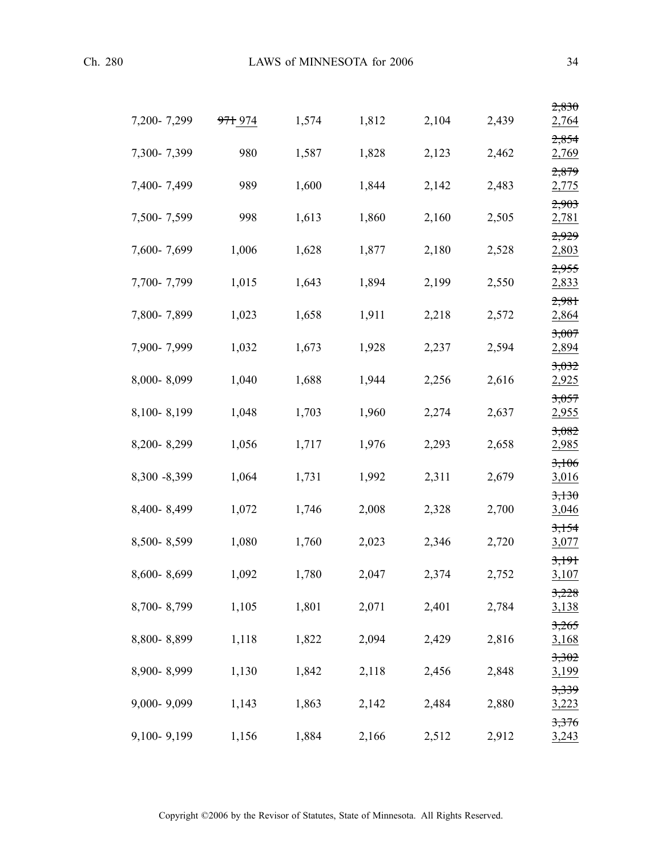|              |                    |       |       |       |       | 2,830          |
|--------------|--------------------|-------|-------|-------|-------|----------------|
| 7,200-7,299  | <del>971</del> 974 | 1,574 | 1,812 | 2,104 | 2,439 | 2,764          |
| 7,300-7,399  | 980                | 1,587 | 1,828 | 2,123 | 2,462 | 2,854<br>2,769 |
| 7,400-7,499  | 989                | 1,600 | 1,844 | 2,142 | 2,483 | 2,879<br>2,775 |
| 7,500-7,599  | 998                | 1,613 | 1,860 | 2,160 | 2,505 | 2,903<br>2,781 |
| 7,600-7,699  | 1,006              | 1,628 | 1,877 | 2,180 | 2,528 | 2,929<br>2,803 |
| 7,700-7,799  | 1,015              | 1,643 | 1,894 | 2,199 | 2,550 | 2,955<br>2,833 |
| 7,800-7,899  | 1,023              | 1,658 | 1,911 | 2,218 | 2,572 | 2,981<br>2,864 |
| 7,900-7,999  | 1,032              | 1,673 | 1,928 | 2,237 | 2,594 | 3,007          |
|              |                    |       |       |       |       | 2,894<br>3,032 |
| 8,000-8,099  | 1,040              | 1,688 | 1,944 | 2,256 | 2,616 | 2,925<br>3,057 |
| 8,100-8,199  | 1,048              | 1,703 | 1,960 | 2,274 | 2,637 | 2,955          |
| 8,200-8,299  | 1,056              | 1,717 | 1,976 | 2,293 | 2,658 | 3,082<br>2,985 |
| 8,300 -8,399 | 1,064              | 1,731 | 1,992 | 2,311 | 2,679 | 3,106<br>3,016 |
| 8,400-8,499  | 1,072              | 1,746 | 2,008 | 2,328 | 2,700 | 3,130<br>3,046 |
| 8,500-8,599  | 1,080              | 1,760 | 2,023 | 2,346 | 2,720 | 3,154<br>3,077 |
| 8,600-8,699  | 1,092              | 1,780 | 2,047 | 2,374 | 2,752 | 3,191<br>3,107 |
| 8,700-8,799  | 1,105              | 1,801 | 2,071 | 2,401 | 2,784 | 3,228<br>3,138 |
| 8,800-8,899  | 1,118              | 1,822 | 2,094 | 2,429 | 2,816 | 3,265<br>3,168 |
| 8,900-8,999  | 1,130              | 1,842 | 2,118 | 2,456 | 2,848 | 3,302<br>3,199 |
| 9,000-9,099  | 1,143              | 1,863 | 2,142 | 2,484 | 2,880 | 3,339<br>3,223 |
|              |                    |       |       |       |       | 3,376          |
| 9,100-9,199  | 1,156              | 1,884 | 2,166 | 2,512 | 2,912 | 3,243          |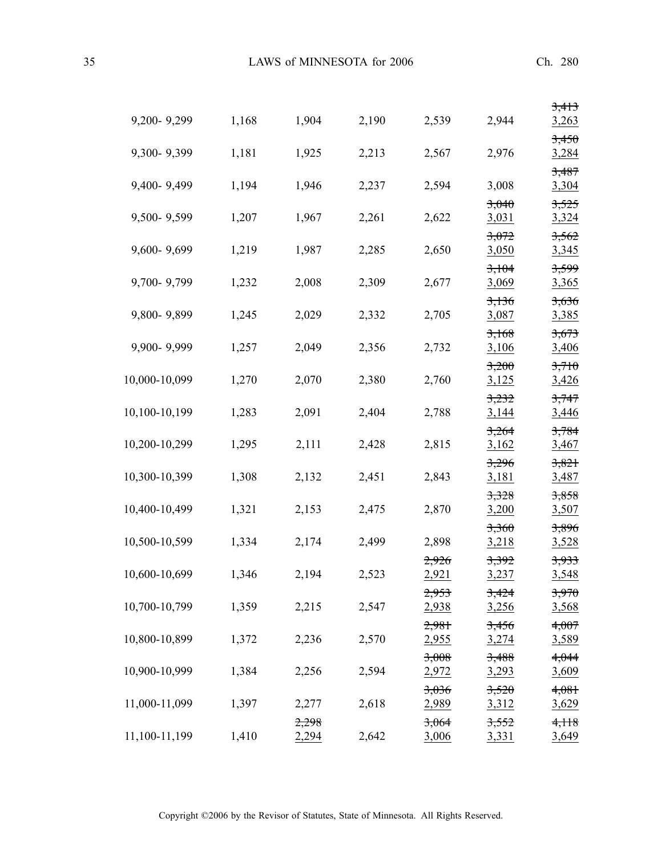| 9,200-9,299   | 1,168 | 1,904          | 2,190 | 2,539          | 2,944          | 3,413<br>3,263        |
|---------------|-------|----------------|-------|----------------|----------------|-----------------------|
| 9,300-9,399   | 1,181 | 1,925          | 2,213 | 2,567          | 2,976          | 3,450<br>3,284        |
| 9,400-9,499   | 1,194 | 1,946          | 2,237 | 2,594          | 3,008          | 3,487<br>3,304        |
| 9,500-9,599   | 1,207 | 1,967          | 2,261 | 2,622          | 3,040<br>3,031 | 3,525<br>3,324        |
| 9,600-9,699   | 1,219 | 1,987          | 2,285 | 2,650          | 3,072<br>3,050 | 3,562<br>3,345        |
| 9,700-9,799   | 1,232 | 2,008          | 2,309 | 2,677          | 3,104<br>3,069 | 3,599<br>3,365        |
| 9,800-9,899   |       |                | 2,332 | 2,705          | 3,136          | 3,636                 |
|               | 1,245 | 2,029          |       |                | 3,087<br>3,168 | 3,385<br>3,673        |
| 9,900-9,999   | 1,257 | 2,049          | 2,356 | 2,732          | 3,106<br>3,200 | 3,406<br>3,710        |
| 10,000-10,099 | 1,270 | 2,070          | 2,380 | 2,760          | 3,125<br>3,232 | 3,426<br>3,747        |
| 10,100-10,199 | 1,283 | 2,091          | 2,404 | 2,788          | 3,144<br>3,264 | 3,446<br>3,784        |
| 10,200-10,299 | 1,295 | 2,111          | 2,428 | 2,815          | 3,162<br>3,296 | 3,467<br>3,821        |
| 10,300-10,399 | 1,308 | 2,132          | 2,451 | 2,843          | 3,181<br>3,328 | 3,487<br>3,858        |
| 10,400-10,499 | 1,321 | 2,153          | 2,475 | 2,870          | 3,200          | 3,507                 |
| 10,500-10,599 | 1,334 | 2,174          | 2,499 | 2,898          | 3,360<br>3,218 | 3,896<br>3,528        |
| 10,600-10,699 | 1,346 | 2,194          | 2,523 | 2,926<br>2,921 | 3,392<br>3,237 | 3,933<br>3,548        |
| 10,700-10,799 | 1,359 | 2,215          | 2,547 | 2,953<br>2,938 | 3,424<br>3,256 | 3,970<br><u>3,568</u> |
| 10,800-10,899 | 1,372 | 2,236          | 2,570 | 2,981<br>2,955 | 3,456<br>3,274 | 4,007<br>3,589        |
| 10,900-10,999 | 1,384 | 2,256          | 2,594 | 3,008<br>2,972 | 3,488<br>3,293 | 4,044<br>3,609        |
| 11,000-11,099 | 1,397 | 2,277          | 2,618 | 3,036<br>2,989 | 3,520<br>3,312 | 4,081<br>3,629        |
| 11,100-11,199 | 1,410 | 2,298<br>2,294 | 2,642 | 3,064<br>3,006 | 3,552<br>3,331 | 4,118<br>3,649        |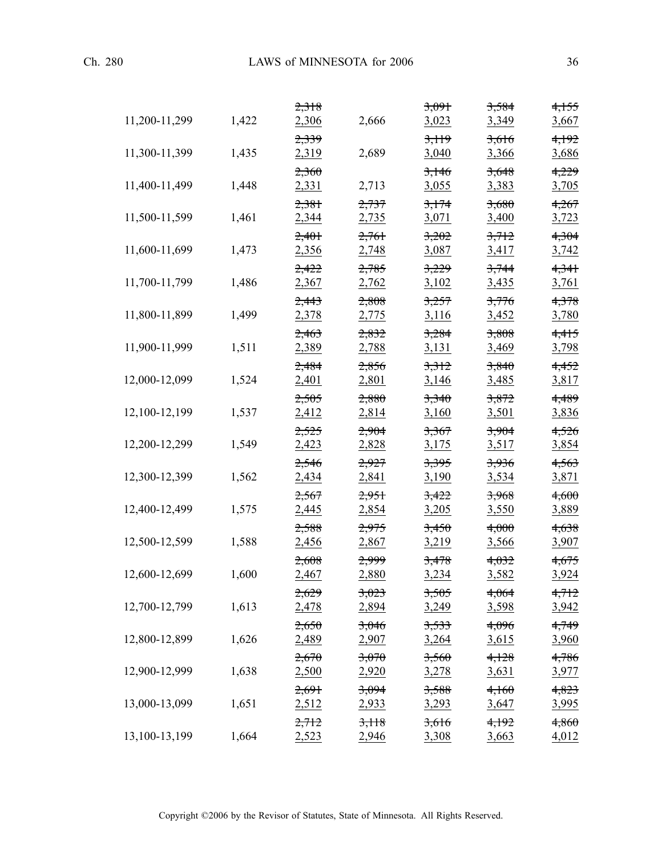| 11,200-11,299 | 1,422 | <del>2,318</del><br>2,306 | 2,666          | <del>3,091</del><br>3,023 | <del>3,584</del><br>3,349 | <del>4,155</del><br>3,667 |
|---------------|-------|---------------------------|----------------|---------------------------|---------------------------|---------------------------|
| 11,300-11,399 | 1,435 | 2,339<br>2,319            | 2,689          | 3,119<br>3,040            | 3,616<br>3,366            | 4,192<br>3,686            |
| 11,400-11,499 | 1,448 | 2,360<br>2,331            | 2,713          | 3,146<br>3,055            | 3,648<br>3,383            | 4,229<br>3,705            |
| 11,500-11,599 | 1,461 | 2,381<br>2,344            | 2,737<br>2,735 | 3,174<br>3,071            | 3,680<br>3,400            | 4,267<br>3,723            |
| 11,600-11,699 | 1,473 | 2,401<br>2,356            | 2,761<br>2,748 | 3,202<br>3,087            | 3,712<br>3,417            | 4,304<br>3,742            |
| 11,700-11,799 | 1,486 | 2,422<br>2,367            | 2,785<br>2,762 | 3,229<br>3,102            | 3,744<br>3,435            | 4,341<br>3,761            |
| 11,800-11,899 | 1,499 | 2,443<br>2,378            | 2,808<br>2,775 | 3,257<br>3,116            | 3,776<br>3,452            | 4,378<br>3,780            |
| 11,900-11,999 | 1,511 | 2,463<br>2,389            | 2,832<br>2,788 | 3,284<br>3,131            | 3,808<br>3,469            | 4,415<br>3,798            |
| 12,000-12,099 | 1,524 | 2,484<br>2,401            | 2,856<br>2,801 | 3,312<br>3,146            | 3,840<br>3,485            | 4,452<br>3,817            |
| 12,100-12,199 | 1,537 | 2,505<br>2,412            | 2,880<br>2,814 | 3,340<br>3,160            | 3,872<br>3,501            | 4,489<br>3,836            |
| 12,200-12,299 | 1,549 | 2,525<br>2,423            | 2,904<br>2,828 | 3,367<br>3,175            | 3,904<br>3,517            | 4,526<br>3,854            |
| 12,300-12,399 | 1,562 | 2,546<br>2,434            | 2,927<br>2,841 | 3,395<br>3,190            | 3,936<br>3,534            | 4,563<br>3,871            |
| 12,400-12,499 | 1,575 | 2,567<br>2,445            | 2,951<br>2,854 | 3,422<br>3,205            | 3,968<br>3,550            | 4,600<br>3,889            |
| 12,500-12,599 | 1,588 | 2,588<br>2,456            | 2,975<br>2,867 | 3,450<br>3,219            | 4,000<br>3,566            | 4,638<br>3,907            |
| 12,600-12,699 | 1,600 | 2,608<br>2,467            | 2,999<br>2,880 | 3,478<br>3,234            | 4,032<br>3,582            | 4,675<br>3,924            |
| 12,700-12,799 | 1,613 | 2,629<br>2,478            | 3,023<br>2,894 | 3,505<br>3,249            | 4,064<br>3,598            | 4,712<br>3,942            |
| 12,800-12,899 | 1,626 | 2,650<br>2,489            | 3,046<br>2,907 | 3,533<br>3,264            | 4,096<br><u>3,615</u>     | 4,749<br><u>3,960</u>     |
| 12,900-12,999 | 1,638 | 2,670<br>2,500            | 3,070<br>2,920 | 3,560<br>3,278            | 4,128<br>3,631            | 4,786<br><u>3,977</u>     |
| 13,000-13,099 | 1,651 | 2,691<br>2,512            | 3,094<br>2,933 | 3,588<br><u>3,293</u>     | 4,160<br>3,647            | 4,823<br><u>3,995</u>     |
| 13,100-13,199 | 1,664 | 2,712<br>2,523            | 3,118<br>2,946 | 3,616<br>3,308            | 4,192<br>3,663            | 4,860<br>4,012            |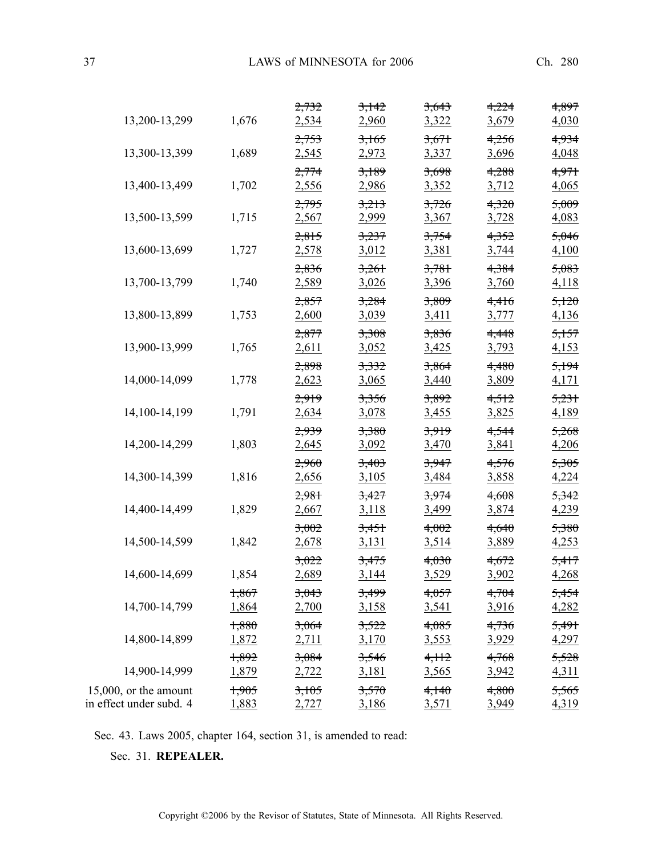37 LAWS of MINNESOTA for 2006 Ch. 280

| 13,200-13,299                                       | 1,676          | 2,732<br>2,534 | 3,142<br>2,960   | 3,643<br>3,322 | 4,224<br>3,679 | 4,897<br>4,030 |
|-----------------------------------------------------|----------------|----------------|------------------|----------------|----------------|----------------|
|                                                     |                | 2,753          | 3,165            | 3,671          | 4,256          | 4,934          |
| 13,300-13,399                                       | 1,689          | 2,545          | 2,973            | 3,337          | 3,696          | 4,048          |
|                                                     |                | 2,774          | 3,189            | 3,698          | 4,288          | 4,971          |
| 13,400-13,499                                       | 1,702          | 2,556          | 2,986            | 3,352          | 3,712          | 4,065          |
| 13,500-13,599                                       | 1,715          | 2,795<br>2,567 | 3,213<br>2,999   | 3,726<br>3,367 | 4,320<br>3,728 | 5,009<br>4,083 |
|                                                     |                | 2,815          | 3,237            | 3,754          | 4,352          | 5,046          |
| 13,600-13,699                                       | 1,727          | 2,578          | 3,012            | 3,381          | 3,744          | 4,100          |
|                                                     |                | 2,836          | 3,261            | 3,781          | 4,384          | 5,083          |
| 13,700-13,799                                       | 1,740          | 2,589          | 3,026            | 3,396          | 3,760          | 4,118          |
| 13,800-13,899                                       | 1,753          | 2,857<br>2,600 | 3,284<br>3,039   | 3,809<br>3,411 | 4,416<br>3,777 | 5,120<br>4,136 |
|                                                     |                | 2,877          | 3,308            | 3,836          | 4,448          | 5,157          |
| 13,900-13,999                                       | 1,765          | 2,611          | 3,052            | 3,425          | 3,793          | 4,153          |
|                                                     |                | 2,898          | 3,332            | 3,864          | 4,480          | 5,194          |
| 14,000-14,099                                       | 1,778          | 2,623          | 3,065            | 3,440          | 3,809          | 4,171          |
|                                                     |                | 2,919          | 3,356            | 3,892          | 4,512          | 5,231          |
| 14,100-14,199                                       | 1,791          | 2,634          | 3,078            | 3,455          | 3,825          | 4,189          |
| 14,200-14,299                                       | 1,803          | 2,939<br>2,645 | 3,380<br>3,092   | 3,919<br>3,470 | 4,544<br>3,841 | 5,268<br>4,206 |
|                                                     |                | 2,960          | 3,403            | 3,947          | 4,576          | 5,305          |
| 14,300-14,399                                       | 1,816          | 2,656          | 3,105            | 3,484          | 3,858          | 4,224          |
|                                                     |                | 2,981          | 3,427            | 3,974          | 4,608          | 5,342          |
| 14,400-14,499                                       | 1,829          | 2,667          | 3,118            | 3,499          | 3,874          | 4,239          |
|                                                     |                | 3,002          | 3,451            | 4,002          | 4,640          | 5,380          |
| 14,500-14,599                                       | 1,842          | 2,678          | 3,131            | 3,514          | 3,889          | 4,253          |
| 14,600-14,699                                       | 1,854          | 3,022<br>2,689 | 3,475<br>3,144   | 4,030<br>3,529 | 4,672<br>3,902 | 5,417<br>4,268 |
|                                                     | 1,867          | 3,043          | <del>3,499</del> | 4,057          | 4,704          | 5,454          |
| 14,700-14,799                                       | 1,864          | 2,700          | 3,158            | 3,541          | 3,916          | 4,282          |
|                                                     | 1,880          | 3,064          | 3,522            | 4,085          | 4,736          | 5,491          |
| 14,800-14,899                                       | 1,872          | <u>2,711</u>   | 3,170            | 3,553          | 3,929          | 4,297          |
|                                                     | 1,892          | 3,084          | 3,546            | 4,112          | 4,768          | 5,528          |
| 14,900-14,999                                       | 1,879          | 2,722          | 3,181            | 3,565          | 3,942          | 4,311          |
| $15,000$ , or the amount<br>in effect under subd. 4 | 1,905<br>1,883 | 3,105<br>2,727 | 3,570<br>3,186   | 4,140<br>3,571 | 4,800<br>3,949 | 5,565<br>4,319 |

Sec. 43. Laws 2005, chapter 164, section 31, is amended to read:

Sec. 31. **REPEALER.**